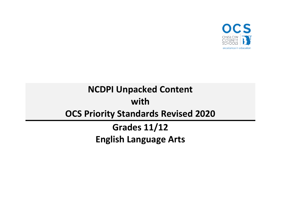

# **NCDPI Unpacked Content with OCS Priority Standards Revised 2020**

**Grades 11/12 English Language Arts**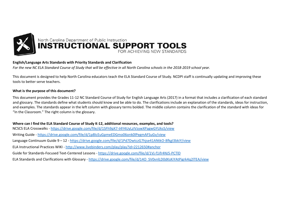

#### **English/Language Arts Standards with Priority Standards and Clarification**

*For the new NC ELA Standard Course of Study that will be effective in all North Carolina schools in the 2018-2019 school year.* 

This document is designed to help North Carolina educators teach the ELA Standard Course of Study. NCDPI staff is continually updating and improving these tools to better serve teachers.

#### **What is the purpose of this document?**

This document provides the Grades 11-12 NC Standard Course of Study for English Language Arts (2017) in a format that includes a clarification of each standard and glossary. The standards define what students should know and be able to do. The clarifications include an explanation of the standards, ideas for instruction, and examples. The standards appear in the left column with glossary terms bolded. The middle column contains the clarification of the standard with ideas for "In the Classroom." The right column is the glossary.

#### **Where can I find the ELA Standard Course of Study K-12, additional resources, examples, and tools?**

NCSCS ELA Crosswalks - <https://drive.google.com/file/d/1SFh9pX7-t4Y4UyLzIVzywXPagwGYUks5/view> Writing Guide - <https://drive.google.com/file/d/1p8IcEuGpmeEDGmo06onk0lPegmAFSuGv/view> Language Continuum Guide 9 – 12 - <https://drive.google.com/file/d/1Pd7DwtczG7hjse41ANtkO-8fkgI3bkiY/view> ELA Instructional Practices WIKI - <http://www.livebinders.com/play/play?id=2212650#anchor> Guide for Standards-Focused Text-Centered Lessons - [https://drive.google.com/file/d/1Vj-f1ifr4NJ5-PCTlD](https://drive.google.com/file/d/1Vj-f1ifr4NJ5-PCTlDx9DzIYkh45l9zR/view) ELA Standards and Clarifications with Glossary - [https://drive.google.com/file/d/14O\\_SV0vnlLD0dKsKiYAtPigrk4q2lTEA/view](https://drive.google.com/file/d/14O_SV0vnlLD0dKsKiYAtPigrk4q2lTEA/view)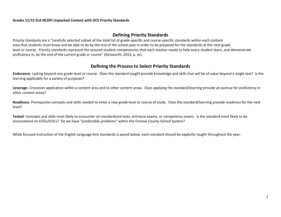#### **Defining Priority Standards**

Priority standards are a "carefully selected subset of the total list of grade-specific and course-specific standards within each content area that students must know and be able to do by the end of the school year in order to be prepared for the standards at the next grade level or course. Priority standards represent the assured student competencies that each teacher needs to help every student learn, and demonstrate proficiency in, by the end of the current grade or course" (Ainsworth, 2013, p. xv).

#### **Defining the Process to Select Priority Standards**

**Endurance**- Lasting beyond one grade level or course. Does the standard taught provide knowledge and skills that will be of value beyond a single test? Is the learning applicable for a variety of purposes?

**Leverage**- Crossover application within a content area and to other content areas. Does applying the standard/learning provide an avenue for proficiency in other content areas?

**Readiness**- Prerequisite concepts and skills needed to enter a new grade level or course of study. Does the standard/learning provide readiness for the next level?

**Tested**- Concepts and skills most likely to encounter on standardized tests, entrance exams, or competency exams. Is the standard most likely to be encountered on EOGs/EOCs? Do we have "predictable problems" within the Onslow County School System?

While focused instruction of the English Language Arts standards is paced below, each standard should be explicitly taught throughout the year.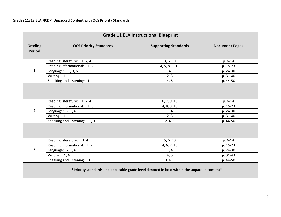| <b>Grade 11 ELA Instructional Blueprint</b>                                                 |                                                                                               |                                            |                                             |
|---------------------------------------------------------------------------------------------|-----------------------------------------------------------------------------------------------|--------------------------------------------|---------------------------------------------|
| Grading<br><b>Period</b>                                                                    | <b>OCS Priority Standards</b>                                                                 | <b>Supporting Standards</b>                | <b>Document Pages</b>                       |
|                                                                                             | Reading Literature: 1, 2, 4                                                                   | 3, 5, 10                                   | p. 6-14                                     |
|                                                                                             | Reading Informational: 1, 2                                                                   | 4, 5, 8, 9, 10                             | p. 15-23                                    |
| $\mathbf{1}$                                                                                | Language: $2, 3, 6$                                                                           | 1, 4, 5                                    | p. 24-30                                    |
|                                                                                             | Writing: 1                                                                                    | 2, 3                                       | p. 31-40                                    |
|                                                                                             | Speaking and Listening: 1                                                                     | 4, 5                                       | p. 44-50                                    |
| $\overline{2}$                                                                              | Reading Literature: 1, 2, 4<br>Reading Informational: 1, 6<br>Language: 2, 3, 6<br>Writing: 1 | 6, 7, 9, 10<br>4, 8, 9, 10<br>1, 4<br>2, 3 | p. 6-14<br>p. 15-23<br>p. 24-30<br>p. 31-40 |
| Speaking and Listening: 1, 3<br>2, 4, 5<br>p. 44-50                                         |                                                                                               |                                            |                                             |
|                                                                                             | Reading Literature: 1, 4                                                                      | 5, 6, 10                                   | p. 6-14                                     |
| 3                                                                                           | Reading Informational: 1, 2                                                                   | 4, 6, 7, 10                                | p. 15-23                                    |
|                                                                                             | Language: 2, 3, 6                                                                             | 1, 4                                       | p. 24-30                                    |
|                                                                                             | Writing: 1,6                                                                                  | 4, 5                                       | p. 31-43                                    |
|                                                                                             | Speaking and Listening: 1                                                                     | 3, 4, 5                                    | p. 44-50                                    |
| *Priority standards and applicable grade level denoted in bold within the unpacked content* |                                                                                               |                                            |                                             |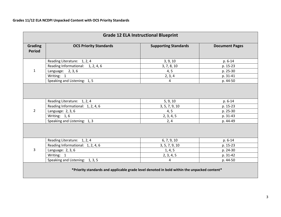| <b>Grade 12 ELA Instructional Blueprint</b>                                                               |                                                                                                       |                                                  |                                             |
|-----------------------------------------------------------------------------------------------------------|-------------------------------------------------------------------------------------------------------|--------------------------------------------------|---------------------------------------------|
| Grading<br><b>Period</b>                                                                                  | <b>OCS Priority Standards</b>                                                                         | <b>Supporting Standards</b>                      | <b>Document Pages</b>                       |
|                                                                                                           | Reading Literature: 1, 2, 4                                                                           | 3, 9, 10                                         | p. 6-14                                     |
|                                                                                                           | Reading Informational: 1, 2, 4, 6                                                                     | 3, 7, 8, 10                                      | p. 15-23                                    |
| $\mathbf{1}$                                                                                              | Language: $2, 3, 6$                                                                                   | 4, 5                                             | p. 25-30                                    |
|                                                                                                           | Writing: 1                                                                                            | 2, 3, 4                                          | p. 31-41                                    |
|                                                                                                           | Speaking and Listening: 1, 5                                                                          | 4                                                | p. 44-50                                    |
| $\overline{2}$                                                                                            | Reading Literature: 1, 2, 4<br>Reading Informational: 1, 2, 4, 6<br>Language: 2, 3, 6<br>Writing: 1,6 | 5, 9, 10<br>3, 5, 7, 9, 10<br>4, 5<br>2, 3, 4, 5 | p. 6-14<br>p. 15-23<br>p. 25-30<br>p. 31-43 |
| Speaking and Listening: 1, 3<br>2, 4<br>p. 44-49<br>Reading Literature: 1, 2, 4<br>p. 6-14<br>6, 7, 9, 10 |                                                                                                       |                                                  |                                             |
|                                                                                                           | Reading Informational: 1, 2, 4, 6                                                                     | 3, 5, 7, 9, 10                                   | p. 15-23                                    |
| 3                                                                                                         | Language: 2, 3, 6                                                                                     | 1, 4, 5                                          | p. 24-30                                    |
|                                                                                                           | Writing: 1                                                                                            | 2, 3, 4, 5                                       | p. 31-42                                    |
|                                                                                                           | Speaking and Listening: 1, 3, 5                                                                       | 4                                                | p. 44-50                                    |
| *Priority standards and applicable grade level denoted in bold within the unpacked content*               |                                                                                                       |                                                  |                                             |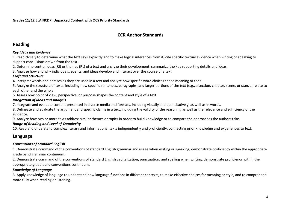## **CCR Anchor Standards**

## **Reading**

#### *Key Ideas and Evidence*

1. Read closely to determine what the text says explicitly and to make logical inferences from it; cite specific textual evidence when writing or speaking to support conclusions drawn from the text.

2. Determine central ideas (RI) or themes (RL) of a text and analyze their development; summarize the key supporting details and ideas.

3. Analyze how and why individuals, events, and ideas develop and interact over the course of a text.

#### *Craft and Structure*

4. Interpret words and phrases as they are used in a text and analyze how specific word choices shape meaning or tone.

5. Analyze the structure of texts, including how specific sentences, paragraphs, and larger portions of the text (e.g., a section, chapter, scene, or stanza) relate to each other and the whole.

6. Assess how point of view, perspective, or purpose shapes the content and style of a text.

#### *Integration of Ideas and Analysis*

7. Integrate and evaluate content presented in diverse media and formats, including visually and quantitatively, as well as in words.

8. Delineate and evaluate the argument and specific claims in a text, including the validity of the reasoning as well as the relevance and sufficiency of the evidence.

9. Analyze how two or more texts address similar themes or topics in order to build knowledge or to compare the approaches the authors take.

#### *Range of Reading and Level of Complexity*

10. Read and understand complex literary and informational texts independently and proficiently, connecting prior knowledge and experiences to text.

## **Language**

#### *Conventions of Standard English*

1. Demonstrate command of the conventions of standard English grammar and usage when writing or speaking; demonstrate proficiency within the appropriate grade band grammar continuum.

2. Demonstrate command of the conventions of standard English capitalization, punctuation, and spelling when writing; demonstrate proficiency within the appropriate grade band conventions continuum.

#### *Knowledge of Language*

3. Apply knowledge of language to understand how language functions in different contexts, to make effective choices for meaning or style, and to comprehend more fully when reading or listening.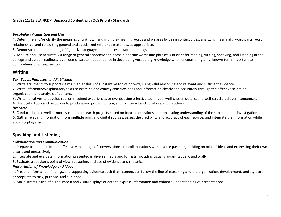#### *Vocabulary Acquisition and Use*

4. Determine and/or clarify the meaning of unknown and multiple-meaning words and phrases by using context clues, analyzing meaningful word parts, word relationships, and consulting general and specialized reference materials, as appropriate.

5. Demonstrate understanding of figurative language and nuances in word meanings.

6. Acquire and use accurately a range of general academic and domain-specific words and phrases sufficient for reading, writing, speaking, and listening at the college and career readiness level; demonstrate independence in developing vocabulary knowledge when encountering an unknown term important to comprehension or expression.

#### **Writing**

#### *Text Types, Purposes, and Publishing*

1. Write arguments to support claims in an analysis of substantive topics or texts, using valid reasoning and relevant and sufficient evidence.

2. Write informative/explanatory texts to examine and convey complex ideas and information clearly and accurately through the effective selection, organization, and analysis of content.

3. Write narratives to develop real or imagined experiences or events using effective technique, well-chosen details, and well-structured event sequences.

4. Use digital tools and resources to produce and publish writing and to interact and collaborate with others.

#### *Research*

5. Conduct short as well as more sustained research projects based on focused questions, demonstrating understanding of the subject under investigation. 6. Gather relevant information from multiple print and digital sources, assess the credibility and accuracy of each source, and integrate the information while avoiding plagiarism.

## **Speaking and Listening**

#### *Collaboration and Communication*

1. Prepare for and participate effectively in a range of conversations and collaborations with diverse partners, building on others' ideas and expressing their own clearly and persuasively.

2. Integrate and evaluate information presented in diverse media and formats, including visually, quantitatively, and orally.

3. Evaluate a speaker's point of view, reasoning, and use of evidence and rhetoric.

#### *Presentation of Knowledge and Ideas*

4. Present information, findings, and supporting evidence such that listeners can follow the line of reasoning and the organization, development, and style are appropriate to task, purpose, and audience.

5. Make strategic use of digital media and visual displays of data to express information and enhance understanding of presentations.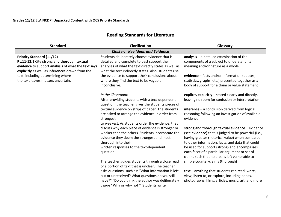# **Reading Standards for Literature**

| <b>Standard</b>                                                                                                                                                                                                                                                     | <b>Clarification</b>                                                                                                                                                                                                                                                                                                                                                                                                                                                                                                                                                                                                                                                                                                                                                                                                                                   | Glossary                                                                                                                                                                                                                                                                                                                                                                                                                                                                                                                                                                                                                                                                                                                                                                                   |
|---------------------------------------------------------------------------------------------------------------------------------------------------------------------------------------------------------------------------------------------------------------------|--------------------------------------------------------------------------------------------------------------------------------------------------------------------------------------------------------------------------------------------------------------------------------------------------------------------------------------------------------------------------------------------------------------------------------------------------------------------------------------------------------------------------------------------------------------------------------------------------------------------------------------------------------------------------------------------------------------------------------------------------------------------------------------------------------------------------------------------------------|--------------------------------------------------------------------------------------------------------------------------------------------------------------------------------------------------------------------------------------------------------------------------------------------------------------------------------------------------------------------------------------------------------------------------------------------------------------------------------------------------------------------------------------------------------------------------------------------------------------------------------------------------------------------------------------------------------------------------------------------------------------------------------------------|
|                                                                                                                                                                                                                                                                     | <b>Cluster: Key Ideas and Evidence</b>                                                                                                                                                                                                                                                                                                                                                                                                                                                                                                                                                                                                                                                                                                                                                                                                                 |                                                                                                                                                                                                                                                                                                                                                                                                                                                                                                                                                                                                                                                                                                                                                                                            |
| <b>Priority Standard (11/12)</b><br>RL.11-12.1 Cite strong and thorough textual<br>evidence to support analysis of what the text says<br>explicitly as well as inferences drawn from the<br>text, including determining where<br>the text leaves matters uncertain. | Students deliberately choose evidence that is<br>detailed and complete to best support their<br>analyses of what the text directly states as well as<br>what the text indirectly states. Also, students use<br>the evidence to support their conclusions about<br>where they find the text to be vague or<br>inconclusive.                                                                                                                                                                                                                                                                                                                                                                                                                                                                                                                             | $analysis - a detailed examination of the$<br>components of a subject to understand its<br>meaning and/or nature as a whole<br>evidence - facts and/or information (quotes,<br>statistics, graphs, etc.) presented together as a<br>body of support for a claim or value statement                                                                                                                                                                                                                                                                                                                                                                                                                                                                                                         |
|                                                                                                                                                                                                                                                                     | In the Classroom:<br>After providing students with a text-dependent<br>question, the teacher gives the students pieces of<br>textual evidence on strips of paper. The students<br>are asked to arrange the evidence in order from<br>strongest<br>to weakest. As students order the evidence, they<br>discuss why each piece of evidence is stronger or<br>weaker than the others. Students incorporate the<br>evidence they deem the strongest and most<br>thorough into their<br>written responses to the text-dependent<br>question.<br>The teacher guides students through a close read<br>of a portion of text that is unclear. The teacher<br>asks questions, such as: "What information is left<br>out or unresolved? What questions do you still<br>have?" "Do you think the author was deliberately<br>vague? Why or why not?" Students write | explicit, explicitly – stated clearly and directly,<br>leaving no room for confusion or interpretation<br>$inference - a conclusion derived from logical$<br>reasoning following an investigation of available<br>evidence<br>strong and thorough textual evidence - evidence<br>(see evidence) that is judged to be powerful (i.e.,<br>having greater rhetorical value) when compared<br>to other information, facts, and data that could<br>be used for support (strong) and encompasses<br>each facet of a particular argument or set of<br>claims such that no area is left vulnerable to<br>simple counter-claims (thorough)<br>text - anything that students can read, write,<br>view, listen to, or explore, including books,<br>photographs, films, articles, music, art, and more |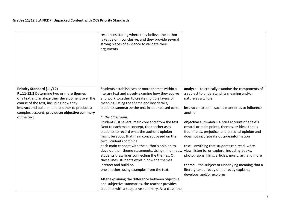|                                                                                                                                                                           | responses stating where they believe the author<br>is vague or inconclusive, and they provide several<br>strong pieces of evidence to validate their<br>arguments.                                                                                |                                                                                                                                                                                                        |
|---------------------------------------------------------------------------------------------------------------------------------------------------------------------------|---------------------------------------------------------------------------------------------------------------------------------------------------------------------------------------------------------------------------------------------------|--------------------------------------------------------------------------------------------------------------------------------------------------------------------------------------------------------|
|                                                                                                                                                                           |                                                                                                                                                                                                                                                   |                                                                                                                                                                                                        |
| <b>Priority Standard (11/12)</b><br>RL.11-12.2 Determine two or more themes<br>of a text and analyze their development over the<br>course of the text, including how they | Students establish two or more themes within a<br>literary text and closely examine how they evolve<br>and work together to create multiple layers of<br>meaning. Using the theme and key details,                                                | $analyze - to critically examine the components of$<br>a subject to understand its meaning and/or<br>nature as a whole                                                                                 |
| interact and build on one another to produce a<br>complex account; provide an objective summary                                                                           | students summarize the text in an unbiased tone.                                                                                                                                                                                                  | <b>interact</b> – to act in such a manner as to influence<br>another                                                                                                                                   |
| of the text.                                                                                                                                                              | In the Classroom:<br>Students list several main concepts from the text.<br>Next to each main concept, the teacher asks<br>students to record what the author's opinion<br>might be about that main concept based on the<br>text. Students combine | objective summary $-$ a brief account of a text's<br>central or main points, themes, or ideas that is<br>free of bias, prejudice, and personal opinion and<br>does not incorporate outside information |
|                                                                                                                                                                           | each main concept with the author's opinion to<br>develop their theme statements. Using mind maps,<br>students draw lines connecting the themes. On<br>these lines, students explain how the themes                                               | text - anything that students can read, write,<br>view, listen to, or explore, including books,<br>photographs, films, articles, music, art, and more                                                  |
|                                                                                                                                                                           | interact and build on<br>one another, using examples from the text.                                                                                                                                                                               | theme - the subject or underlying meaning that a<br>literary text directly or indirectly explains,<br>develops, and/or explores                                                                        |
|                                                                                                                                                                           | After explaining the difference between objective<br>and subjective summaries, the teacher provides<br>students with a subjective summary. As a class, the                                                                                        |                                                                                                                                                                                                        |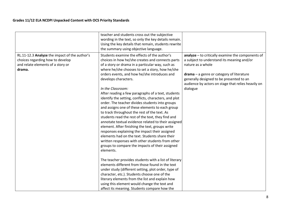|                                                                                                                                  | teacher and students cross out the subjective<br>wording in the text, so only the key details remain.<br>Using the key details that remain, students rewrite<br>the summary using objective language.                                                                                                                                                                                                                                                                                                                                                                                                                                                                                                                                                                                                                                                                                                                                                            |                                                                                                                                                                                                                                                                                      |
|----------------------------------------------------------------------------------------------------------------------------------|------------------------------------------------------------------------------------------------------------------------------------------------------------------------------------------------------------------------------------------------------------------------------------------------------------------------------------------------------------------------------------------------------------------------------------------------------------------------------------------------------------------------------------------------------------------------------------------------------------------------------------------------------------------------------------------------------------------------------------------------------------------------------------------------------------------------------------------------------------------------------------------------------------------------------------------------------------------|--------------------------------------------------------------------------------------------------------------------------------------------------------------------------------------------------------------------------------------------------------------------------------------|
| RL.11-12.3 Analyze the impact of the author's<br>choices regarding how to develop<br>and relate elements of a story or<br>drama. | Students examine the effects of the author's<br>choices in how he/she creates and connects parts<br>of a story or drama in a particular way, such as<br>where he/she chooses to set a story, how he/she<br>orders events, and how he/she introduces and<br>develops characters.<br>In the Classroom:<br>After reading a few paragraphs of a text, students<br>identify the setting, conflicts, characters, and plot<br>order. The teacher divides students into groups<br>and assigns one of these elements to each group<br>to track throughout the rest of the text. As<br>students read the rest of the text, they find and<br>annotate textual evidence related to their assigned<br>element. After finishing the text, groups write<br>responses explaining the impact their assigned<br>elements had on the text. Students share their<br>written responses with other students from other<br>groups to compare the impacts of their assigned<br>elements. | analyze - to critically examine the components of<br>a subject to understand its meaning and/or<br>nature as a whole<br>$d$ rama $-$ a genre or category of literature<br>generally designed to be presented to an<br>audience by actors on stage that relies heavily on<br>dialogue |
|                                                                                                                                  | The teacher provides students with a list of literary<br>elements different from those found in the text<br>under study (different setting, plot order, type of<br>character, etc.). Students choose one of the<br>literary elements from the list and explain how<br>using this element would change the text and<br>affect its meaning. Students compare how the                                                                                                                                                                                                                                                                                                                                                                                                                                                                                                                                                                                               |                                                                                                                                                                                                                                                                                      |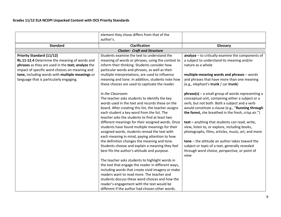|                                                                                                                                                                                                                                                                                        | element they chose differs from that of the<br>author's.                                                                                                                                                                                                                                                                                                                                                                                                                                                                                                                                                                                                                                                                                                                                                                                                                                                                                                                                                                                                                                                            |                                                                                                                                                                                                                                                                                                                                                                                                                                                                                                                                                                                                                                                                                                                                                                                                                                                            |
|----------------------------------------------------------------------------------------------------------------------------------------------------------------------------------------------------------------------------------------------------------------------------------------|---------------------------------------------------------------------------------------------------------------------------------------------------------------------------------------------------------------------------------------------------------------------------------------------------------------------------------------------------------------------------------------------------------------------------------------------------------------------------------------------------------------------------------------------------------------------------------------------------------------------------------------------------------------------------------------------------------------------------------------------------------------------------------------------------------------------------------------------------------------------------------------------------------------------------------------------------------------------------------------------------------------------------------------------------------------------------------------------------------------------|------------------------------------------------------------------------------------------------------------------------------------------------------------------------------------------------------------------------------------------------------------------------------------------------------------------------------------------------------------------------------------------------------------------------------------------------------------------------------------------------------------------------------------------------------------------------------------------------------------------------------------------------------------------------------------------------------------------------------------------------------------------------------------------------------------------------------------------------------------|
| <b>Standard</b>                                                                                                                                                                                                                                                                        | <b>Clarification</b>                                                                                                                                                                                                                                                                                                                                                                                                                                                                                                                                                                                                                                                                                                                                                                                                                                                                                                                                                                                                                                                                                                | Glossary                                                                                                                                                                                                                                                                                                                                                                                                                                                                                                                                                                                                                                                                                                                                                                                                                                                   |
|                                                                                                                                                                                                                                                                                        | <b>Cluster: Craft and Structure</b>                                                                                                                                                                                                                                                                                                                                                                                                                                                                                                                                                                                                                                                                                                                                                                                                                                                                                                                                                                                                                                                                                 |                                                                                                                                                                                                                                                                                                                                                                                                                                                                                                                                                                                                                                                                                                                                                                                                                                                            |
| <b>Priority Standard (11/12)</b><br>RL.11-12.4 Determine the meaning of words and<br>phrases as they are used in the text; analyze the<br>impact of specific word choices on meaning and<br>tone, including words with multiple meanings or<br>language that is particularly engaging. | Students examine the text to understand the<br>meaning of words or phrases, using the context to<br>inform their thinking. Students consider how<br>particular words and phrases, as well as their<br>multiple interpretations, are used to influence<br>meaning and tone. In addition, students note how<br>these choices are used to captivate the reader.<br>In the Classroom:<br>The teacher asks students to identify the key<br>words used in the text and records these on the<br>board. After creating this list, the teacher assigns<br>each student a key word from the list. The<br>teacher asks the students to find at least two<br>different meanings for their assigned words. Once<br>students have found multiple meanings for their<br>assigned words, students reread the text with<br>each meaning in mind, paying attention to how<br>the definition changes the meaning and tone.<br>Students choose and explain a meaning they feel<br>best fits the author's attitude and purpose.<br>The teacher asks students to highlight words in<br>the text that engage the reader in different ways, | analyze - to critically examine the components of<br>a subject to understand its meaning and/or<br>nature as a whole<br>multiple-meaning words and phrases - words<br>and phrases that have more than one meaning<br>(e.g., elephant's trunk / car trunk)<br>$phrase(s)$ – a small group of words representing a<br>conceptual unit, containing either a subject or a<br>verb, but not both. Both a subject and a verb<br>would constitute a clause (e.g., "Running through<br>the forest, she breathed in the fresh, crisp air.")<br>text - anything that students can read, write,<br>view, listen to, or explore, including books,<br>photographs, films, articles, music, art, and more<br>$tone – the attitude an author takes toward the$<br>subject or topic of a text, generally revealed<br>through word choice, perspective, or point of<br>view |
|                                                                                                                                                                                                                                                                                        | including words that create vivid imagery or make<br>readers want to read more. The teacher and                                                                                                                                                                                                                                                                                                                                                                                                                                                                                                                                                                                                                                                                                                                                                                                                                                                                                                                                                                                                                     |                                                                                                                                                                                                                                                                                                                                                                                                                                                                                                                                                                                                                                                                                                                                                                                                                                                            |
|                                                                                                                                                                                                                                                                                        | students discuss these word choices and how the<br>reader's engagement with the text would be<br>different if the author had chosen other words.                                                                                                                                                                                                                                                                                                                                                                                                                                                                                                                                                                                                                                                                                                                                                                                                                                                                                                                                                                    |                                                                                                                                                                                                                                                                                                                                                                                                                                                                                                                                                                                                                                                                                                                                                                                                                                                            |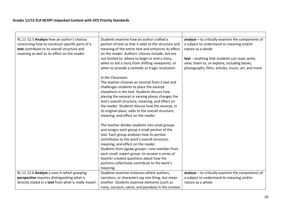| RL.11-12.5 Analyze how an author's choices<br>concerning how to construct specific parts of a<br>text contribute to its overall structure and<br>meaning as well as its effect on the reader. | Students examine how an author crafted a<br>portion of text so that it adds to the structure and<br>meaning of the entire text and enhances its effect<br>on the reader. Authors' choices include, but are<br>not limited to: where to begin or end a story,<br>when to tell a story from shifting viewpoints, or<br>when to provide a comedic or tragic resolution.                                                                          | $analyze - to critically examine the components of$<br>a subject to understand its meaning and/or<br>nature as a whole<br>text - anything that students can read, write,<br>view, listen to, or explore, including books,<br>photographs, films, articles, music, art, and more |
|-----------------------------------------------------------------------------------------------------------------------------------------------------------------------------------------------|-----------------------------------------------------------------------------------------------------------------------------------------------------------------------------------------------------------------------------------------------------------------------------------------------------------------------------------------------------------------------------------------------------------------------------------------------|---------------------------------------------------------------------------------------------------------------------------------------------------------------------------------------------------------------------------------------------------------------------------------|
|                                                                                                                                                                                               | In the Classroom:<br>The teacher chooses an excerpt from a text and<br>challenges students to place the excerpt<br>elsewhere in the text. Students discuss how<br>placing the excerpt in varying places changes the<br>text's overall structure, meaning, and effect on<br>the reader. Students discuss how the excerpt, in<br>its original place, adds to the overall structure,<br>meaning, and effect on the reader.                       |                                                                                                                                                                                                                                                                                 |
|                                                                                                                                                                                               | The teacher divides students into small groups<br>and assigns each group a small portion of the<br>text. Each group analyzes how its portion<br>contributes to the work's overall structure,<br>meaning, and effect on the reader.<br>Students form jigsaw groups-one member from<br>each small, expert group--to answer a series of<br>teacher-created questions about how the<br>portions collectively contribute to the work's<br>meaning. |                                                                                                                                                                                                                                                                                 |
| RL.11-12.6 Analyze a case in which grasping                                                                                                                                                   | Students examine instances where authors,                                                                                                                                                                                                                                                                                                                                                                                                     | analyze - to critically examine the components of                                                                                                                                                                                                                               |
| perspective requires distinguishing what is<br>directly stated in a text from what is really meant.                                                                                           | narrators, or characters say one thing, but mean<br>another. Students examine elements (such as                                                                                                                                                                                                                                                                                                                                               | a subject to understand its meaning and/or<br>nature as a whole                                                                                                                                                                                                                 |
|                                                                                                                                                                                               | irony, sarcasm, satire, and paradox) in the context                                                                                                                                                                                                                                                                                                                                                                                           |                                                                                                                                                                                                                                                                                 |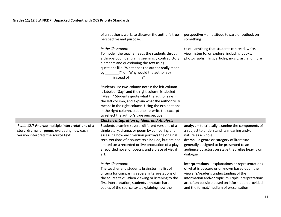|                                                                                                                                       | of an author's work, to discover the author's true<br>perspective and purpose.                                                                                                                                                                                                                                                                                     | perspective - an attitude toward or outlook on<br>something                                                                                                                                                                                                                                      |
|---------------------------------------------------------------------------------------------------------------------------------------|--------------------------------------------------------------------------------------------------------------------------------------------------------------------------------------------------------------------------------------------------------------------------------------------------------------------------------------------------------------------|--------------------------------------------------------------------------------------------------------------------------------------------------------------------------------------------------------------------------------------------------------------------------------------------------|
|                                                                                                                                       | In the Classroom:<br>To model, the teacher leads the students through<br>a think-aloud, identifying seemingly contradictory<br>elements and questioning the text using<br>questions like "What does the author really mean<br>by _______?" or "Why would the author say<br>instead of P"                                                                           | text - anything that students can read, write,<br>view, listen to, or explore, including books,<br>photographs, films, articles, music, art, and more                                                                                                                                            |
|                                                                                                                                       | Students use two-column notes: the left column<br>is labeled "Say" and the right column is labeled<br>"Mean." Students quote what the author says in<br>the left column, and explain what the author truly<br>means in the right column. Using the explanations<br>in the right column, students re-write the excerpt<br>to reflect the author's true perspective. |                                                                                                                                                                                                                                                                                                  |
|                                                                                                                                       | <b>Cluster: Integration of Ideas and Analysis</b>                                                                                                                                                                                                                                                                                                                  |                                                                                                                                                                                                                                                                                                  |
| RL.11-12.7 Analyze multiple interpretations of a<br>story, drama, or poem, evaluating how each<br>version interprets the source text. | Students examine several different versions of a<br>single story, drama, or poem by comparing and<br>assessing how each version portrays the original<br>text. Versions of a source text include, but are not<br>limited to: a recorded or live production of a play,<br>a recorded novel or poetry, and a piece of visual<br>art.                                 | analyze - to critically examine the components of<br>a subject to understand its meaning and/or<br>nature as a whole<br>drama - a genre or category of literature<br>generally designed to be presented to an<br>audience by actors on stage that relies heavily on<br>dialogue                  |
|                                                                                                                                       | In the Classroom:<br>The teacher and students brainstorm a list of<br>criteria for comparing several interpretations of<br>the source text. When viewing or listening to the<br>first interpretation, students annotate hard<br>copies of the source text, explaining how the                                                                                      | $interpretations - explanations or representations$<br>of what is obscure or unknown based upon the<br>viewer's/reader's understanding of the<br>information and/or topic; multiple interpretations<br>are often possible based on information provided<br>and the format/medium of presentation |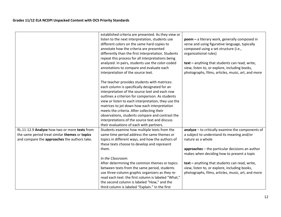|                                                | established criteria are presented. As they view or<br>listen to the next interpretation, students use<br>different colors on the same hard copies to<br>annotate how the criteria are presented<br>differently than the first interpretation. Students<br>repeat this process for all interpretations being<br>analyzed. In pairs, students use the color-coded<br>annotations to compare and evaluate each<br>interpretation of the source text.                                                        | poem - a literary work, generally composed in<br>verse and using figurative language, typically<br>composed using a set structure (i.e.,<br>organizational rules)<br>text - anything that students can read, write,<br>view, listen to, or explore, including books,<br>photographs, films, articles, music, art, and more |
|------------------------------------------------|-----------------------------------------------------------------------------------------------------------------------------------------------------------------------------------------------------------------------------------------------------------------------------------------------------------------------------------------------------------------------------------------------------------------------------------------------------------------------------------------------------------|----------------------------------------------------------------------------------------------------------------------------------------------------------------------------------------------------------------------------------------------------------------------------------------------------------------------------|
|                                                | The teacher provides students with matrices:<br>each column is specifically designated for an<br>interpretation of the source text and each row<br>outlines a criterion for comparison. As students<br>view or listen to each interpretation, they use the<br>matrices to jot down how each interpretation<br>meets the criteria. After collecting their<br>observations, students compare and contrast the<br>interpretations of the source text and discuss<br>their evaluations of each with partners. |                                                                                                                                                                                                                                                                                                                            |
| RL.11-12.9 Analyze how two or more texts from  | Students examine how multiple texts from the                                                                                                                                                                                                                                                                                                                                                                                                                                                              | $analyze - to critically examine the components of$                                                                                                                                                                                                                                                                        |
| the same period treat similar themes or topics | same time period address the same themes or                                                                                                                                                                                                                                                                                                                                                                                                                                                               | a subject to understand its meaning and/or                                                                                                                                                                                                                                                                                 |
| and compare the approaches the authors take.   | topics in different ways, and how the authors of                                                                                                                                                                                                                                                                                                                                                                                                                                                          | nature as a whole                                                                                                                                                                                                                                                                                                          |
|                                                | these texts choose to develop and represent                                                                                                                                                                                                                                                                                                                                                                                                                                                               |                                                                                                                                                                                                                                                                                                                            |
|                                                | them.                                                                                                                                                                                                                                                                                                                                                                                                                                                                                                     | approaches - the particular decisions an author<br>makes when deciding how to present a topic                                                                                                                                                                                                                              |
|                                                | In the Classroom:                                                                                                                                                                                                                                                                                                                                                                                                                                                                                         |                                                                                                                                                                                                                                                                                                                            |
|                                                | After determining the common themes or topics                                                                                                                                                                                                                                                                                                                                                                                                                                                             | text - anything that students can read, write,                                                                                                                                                                                                                                                                             |
|                                                | between texts from the same period, students                                                                                                                                                                                                                                                                                                                                                                                                                                                              | view, listen to, or explore, including books,                                                                                                                                                                                                                                                                              |
|                                                | use three-column graphic organizers as they re-                                                                                                                                                                                                                                                                                                                                                                                                                                                           | photographs, films, articles, music, art, and more                                                                                                                                                                                                                                                                         |
|                                                | read each text: the first column is labeled "What,"                                                                                                                                                                                                                                                                                                                                                                                                                                                       |                                                                                                                                                                                                                                                                                                                            |
|                                                | the second column is labeled "How," and the                                                                                                                                                                                                                                                                                                                                                                                                                                                               |                                                                                                                                                                                                                                                                                                                            |
|                                                | third column is labeled "Explain." In the first                                                                                                                                                                                                                                                                                                                                                                                                                                                           |                                                                                                                                                                                                                                                                                                                            |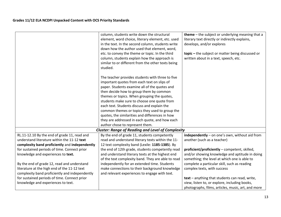|                                                | column, students write down the structural               | <b>theme</b> $-$ the subject or underlying meaning that a |
|------------------------------------------------|----------------------------------------------------------|-----------------------------------------------------------|
|                                                | element, word choice, literary element, etc. used        | literary text directly or indirectly explains,            |
|                                                | in the text. In the second column, students write        | develops, and/or explores                                 |
|                                                | down how the author used that element, word,             |                                                           |
|                                                | etc. to convey the theme or topic. In the third          | topic - the subject or matter being discussed or          |
|                                                | column, students explain how the approach is             | written about in a text, speech, etc.                     |
|                                                | similar to or different from the other texts being       |                                                           |
|                                                | studied.                                                 |                                                           |
|                                                |                                                          |                                                           |
|                                                | The teacher provides students with three to five         |                                                           |
|                                                | important quotes from each text on slips of              |                                                           |
|                                                | paper. Students examine all of the quotes and            |                                                           |
|                                                | then decide how to group them by common                  |                                                           |
|                                                | themes or topics. When grouping the quotes,              |                                                           |
|                                                | students make sure to choose one quote from              |                                                           |
|                                                | each text. Students discuss and explain the              |                                                           |
|                                                | common themes or topics they used to group the           |                                                           |
|                                                | quotes, the similarities and differences in how          |                                                           |
|                                                | they are addressed in each quote, and how each           |                                                           |
|                                                | author chose to represent them.                          |                                                           |
|                                                | <b>Cluster: Range of Reading and Level of Complexity</b> |                                                           |
| RL.11-12.10 By the end of grade 11, read and   | By the end of grade 11, students competently             | independently - on one's own, without aid from            |
| understand literature within the 11-12 text    | read and understand literary texts within the 11-        | another (such as a teacher)                               |
| complexity band proficiently and independently | 12 text complexity band (Lexile: 1185-1385). By          |                                                           |
| for sustained periods of time. Connect prior   | the end of 12th grade, students competently read         | proficient/proficiently - competent, skilled,             |
| knowledge and experiences to text.             | and understand literary texts at the highest end         | and/or showing knowledge and aptitude in doing            |
|                                                | of the text complexity band. They are able to read       | something; the level at which one is able to              |
| By the end of grade 12, read and understand    | independently for an extended time. Students             | complete a particular skill, such as reading              |
| literature at the high end of the 11-12 text   | make connections to their background knowledge           | complex texts, with success                               |
| complexity band proficiently and independently | and relevant experiences to engage with text.            |                                                           |
| for sustained periods of time. Connect prior   |                                                          | text - anything that students can read, write,            |
| knowledge and experiences to text.             |                                                          | view, listen to, or explore, including books,             |
|                                                |                                                          | photographs, films, articles, music, art, and more        |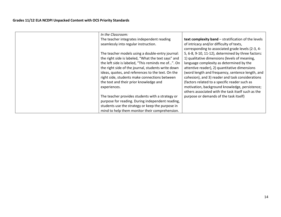| In the Classroom:                                   |                                                     |
|-----------------------------------------------------|-----------------------------------------------------|
| The teacher integrates independent reading          | text complexity band - stratification of the levels |
| seamlessly into regular instruction.                | of intricacy and/or difficulty of texts,            |
|                                                     | corresponding to associated grade levels (2-3, 4-   |
| The teacher models using a double-entry journal:    | 5, 6-8, 9-10, 11-12), determined by three factors:  |
| the right side is labeled, "What the text says" and | 1) qualitative dimensions (levels of meaning,       |
| the left side is labeled, "This reminds me of". On  | language complexity as determined by the            |
| the right side of the journal, students write down  | attentive reader), 2) quantitative dimensions       |
| ideas, quotes, and references to the text. On the   | (word length and frequency, sentence length, and    |
| right side, students make connections between       | cohesion), and 3) reader and task considerations    |
| the text and their prior knowledge and              | (factors related to a specific reader such as       |
| experiences.                                        | motivation, background knowledge, persistence;      |
|                                                     | others associated with the task itself such as the  |
| The teacher provides students with a strategy or    | purpose or demands of the task itself)              |
| purpose for reading. During independent reading,    |                                                     |
| students use the strategy or keep the purpose in    |                                                     |
| mind to help them monitor their comprehension.      |                                                     |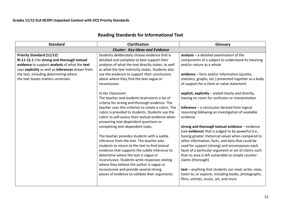| <b>Standard</b>                                                                                                                                                                                                                                                     | <b>Clarification</b>                                                                                                                                                                                                                                                                                                                                                                                                                                                                                                                                                                                                                                                                                                                                                                                                                                                                                                                                                                                                                                                                                                           | Glossary                                                                                                                                                                                                                                                                                                                                                                                                                                                                                                                                                                                                                                                                                                                                                                                                                                                                                                                                                                                                                                  |
|---------------------------------------------------------------------------------------------------------------------------------------------------------------------------------------------------------------------------------------------------------------------|--------------------------------------------------------------------------------------------------------------------------------------------------------------------------------------------------------------------------------------------------------------------------------------------------------------------------------------------------------------------------------------------------------------------------------------------------------------------------------------------------------------------------------------------------------------------------------------------------------------------------------------------------------------------------------------------------------------------------------------------------------------------------------------------------------------------------------------------------------------------------------------------------------------------------------------------------------------------------------------------------------------------------------------------------------------------------------------------------------------------------------|-------------------------------------------------------------------------------------------------------------------------------------------------------------------------------------------------------------------------------------------------------------------------------------------------------------------------------------------------------------------------------------------------------------------------------------------------------------------------------------------------------------------------------------------------------------------------------------------------------------------------------------------------------------------------------------------------------------------------------------------------------------------------------------------------------------------------------------------------------------------------------------------------------------------------------------------------------------------------------------------------------------------------------------------|
|                                                                                                                                                                                                                                                                     | <b>Cluster: Key Ideas and Evidence</b>                                                                                                                                                                                                                                                                                                                                                                                                                                                                                                                                                                                                                                                                                                                                                                                                                                                                                                                                                                                                                                                                                         |                                                                                                                                                                                                                                                                                                                                                                                                                                                                                                                                                                                                                                                                                                                                                                                                                                                                                                                                                                                                                                           |
| <b>Priority Standard (11/12)</b><br>RI.11-12.1 Cite strong and thorough textual<br>evidence to support analysis of what the text<br>says explicitly as well as inferences drawn from<br>the text, including determining where<br>the text leaves matters uncertain. | Students deliberately choose evidence that is<br>detailed and complete to best support their<br>analyses of what the text directly states, as well<br>as what the text indirectly states. Students also<br>use the evidence to support their conclusions<br>about where they find the text vague or<br>inconclusive.<br>In the Classroom:<br>The teacher and students brainstorm a list of<br>criteria for strong and thorough evidence. The<br>teacher uses this criterion to create a rubric. The<br>rubric is provided to students. Students use the<br>rubric to self-assess their textual evidence when<br>answering text-dependent questions or<br>completing text-dependent tasks.<br>The teacher provides students with a subtle<br>inference from the text. The teacher asks<br>students to return to the text to find textual<br>evidence that supports the subtle inference to<br>determine where the text is vague or<br>inconclusive. Students write responses stating<br>where they believe the author is vague or<br>inconclusive and provide several strong<br>pieces of evidence to validate their arguments. | $analysis - a detailed examination of the$<br>components of a subject to understand its meaning<br>and/or nature as a whole<br>evidence - facts and/or information (quotes,<br>statistics, graphs, etc.) presented together as a body<br>of support for a claim or value statement.<br>explicit, explicitly - stated clearly and directly,<br>leaving no room for confusion or interpretation<br>$inference - a conclusion derived from logical$<br>reasoning following an investigation of available<br>evidence<br>strong and thorough textual evidence - evidence<br>(see evidence) that is judged to be powerful (i.e.,<br>having greater rhetorical value) when compared to<br>other information, facts, and data that could be<br>used for support (strong) and encompasses each<br>facet of a particular argument or set of claims such<br>that no area is left vulnerable to simple counter-<br>claims (thorough)<br>text - anything that students can read, write, view,<br>listen to, or explore, including books, photographs, |

# **Reading Standards for Informational Text**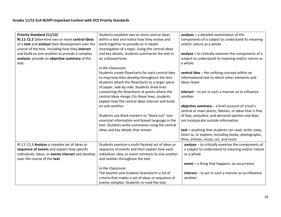| <b>Priority Standard (11/12)</b><br>RI.11-12.2 Determine two or more central ideas<br>of a text and analyze their development over the<br>course of the text, including how they interact | Students establish two or more central ideas<br>within a text and notice how they evolve and<br>work together to provide an in-depth<br>investigation of a topic. Using the central ideas                                | $analysis - a detailed examination of the$<br>components of a subject to understand its meaning<br>and/or nature as a whole                           |
|-------------------------------------------------------------------------------------------------------------------------------------------------------------------------------------------|--------------------------------------------------------------------------------------------------------------------------------------------------------------------------------------------------------------------------|-------------------------------------------------------------------------------------------------------------------------------------------------------|
| and build on one another to provide a complex<br>analysis; provide an objective summary of the<br>text.                                                                                   | and key details, students summarize the text in<br>an unbiased tone.                                                                                                                                                     | analyze $-$ to critically examine the components of a<br>subject to understand its meaning and/or nature as<br>a whole                                |
|                                                                                                                                                                                           | In the Classroom:<br>Students create flowcharts for each central idea<br>to map how they develop throughout the text.<br>Students attach the flowcharts to a larger piece<br>of paper, side-by-side. Students draw lines | central idea - the unifying concept within an<br>informational text to which other elements and<br>ideas relate                                       |
|                                                                                                                                                                                           | connecting the flowcharts at points where the<br>central ideas merge. On these lines, students<br>explain how the central ideas interact and build                                                                       | $interact - to act in such a manner as to influence$<br>another                                                                                       |
|                                                                                                                                                                                           | on one another.                                                                                                                                                                                                          | objective summary $-$ a brief account of a text's<br>central or main points, themes, or ideas that is free                                            |
|                                                                                                                                                                                           | Students use black markers to "black out" non-<br>essential information and biased language in the<br>text. Students write summaries using the central                                                                   | of bias, prejudice, and personal opinion and does<br>not incorporate outside information                                                              |
|                                                                                                                                                                                           | ideas and key details that remain.                                                                                                                                                                                       | text - anything that students can read, write, view,<br>listen to, or explore, including books, photographs,<br>films, articles, music, art, and more |
| RI.11-12.3 Analyze a complex set of ideas or<br>sequence of events and explain how specific                                                                                               | Students examine a multi-faceted set of ideas or<br>sequence of events and then explain how each                                                                                                                         | $analyze - to critically examine the components of$<br>a subject to understand its meaning and/or nature                                              |
| individuals, ideas, or events interact and develop<br>over the course of the text.                                                                                                        | individual, idea, or event connects to one another<br>and evolves throughout the text.                                                                                                                                   | as a whole                                                                                                                                            |
|                                                                                                                                                                                           | In the Classroom:                                                                                                                                                                                                        | event - a thing that happens; an occurrence                                                                                                           |
|                                                                                                                                                                                           | The teacher and students brainstorm a list of<br>criteria that makes a set of ideas or sequence of<br>events complex. Students re-read the text,                                                                         | $interact - to act in such a manner as to influence$<br>another                                                                                       |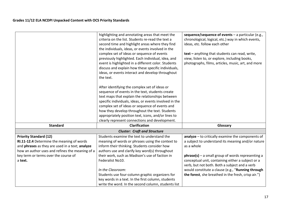|                                                                                                                                                                                                                                     | highlighting and annotating areas that meet the<br>criteria on the list. Students re-read the text a<br>second time and highlight areas where they find<br>the individuals, ideas, or events involved in the<br>complex set of ideas or sequence of events<br>previously highlighted. Each individual, idea, and<br>event is highlighted in a different color. Students<br>discuss and explain how these specific individuals,<br>ideas, or events interact and develop throughout<br>the text.<br>After identifying the complex set of ideas or<br>sequence of events in the text, students create<br>text maps that explain the relationships between<br>specific individuals, ideas, or events involved in the<br>complex set of ideas or sequence of events and<br>how they develop throughout the text. Students<br>appropriately position text, icons, and/or lines to<br>clearly represent connections and development. | sequence/sequence of events $-$ a particular (e.g.,<br>chronological, logical, etc.) way in which events,<br>ideas, etc. follow each other<br>text - anything that students can read, write,<br>view, listen to, or explore, including books,<br>photographs, films, articles, music, art, and more                                                                                           |
|-------------------------------------------------------------------------------------------------------------------------------------------------------------------------------------------------------------------------------------|--------------------------------------------------------------------------------------------------------------------------------------------------------------------------------------------------------------------------------------------------------------------------------------------------------------------------------------------------------------------------------------------------------------------------------------------------------------------------------------------------------------------------------------------------------------------------------------------------------------------------------------------------------------------------------------------------------------------------------------------------------------------------------------------------------------------------------------------------------------------------------------------------------------------------------|-----------------------------------------------------------------------------------------------------------------------------------------------------------------------------------------------------------------------------------------------------------------------------------------------------------------------------------------------------------------------------------------------|
| <b>Standard</b>                                                                                                                                                                                                                     | <b>Clarification</b>                                                                                                                                                                                                                                                                                                                                                                                                                                                                                                                                                                                                                                                                                                                                                                                                                                                                                                           | Glossary                                                                                                                                                                                                                                                                                                                                                                                      |
|                                                                                                                                                                                                                                     | <b>Cluster: Craft and Structure</b>                                                                                                                                                                                                                                                                                                                                                                                                                                                                                                                                                                                                                                                                                                                                                                                                                                                                                            |                                                                                                                                                                                                                                                                                                                                                                                               |
| <b>Priority Standard (12)</b><br>RI.11-12.4 Determine the meaning of words<br>and phrases as they are used in a text; analyze<br>how an author uses and refines the meaning of a<br>key term or terms over the course of<br>a text. | Students examine the text to understand the<br>meaning of words or phrases using the context to<br>inform their thinking. Students consider how<br>authors use and clarify key word(s) throughout<br>their work, such as Madison's use of faction in<br>Federalist No10.<br>In the Classroom:<br>Students use four-column graphic organizers for<br>key words in a text. In the first column, students<br>write the word. In the second column, students list                                                                                                                                                                                                                                                                                                                                                                                                                                                                  | analyze - to critically examine the components of<br>a subject to understand its meaning and/or nature<br>as a whole<br>$phrase(s)$ – a small group of words representing a<br>conceptual unit, containing either a subject or a<br>verb, but not both. Both a subject and a verb<br>would constitute a clause (e.g., "Running through<br>the forest, she breathed in the fresh, crisp air.") |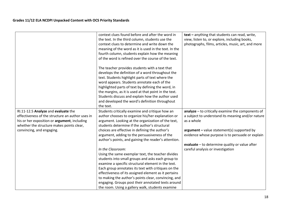|                                                                                         | context clues found before and after the word in      | text - anything that students can read, write,     |
|-----------------------------------------------------------------------------------------|-------------------------------------------------------|----------------------------------------------------|
|                                                                                         | the text. In the third column, students use the       | view, listen to, or explore, including books,      |
|                                                                                         | context clues to determine and write down the         | photographs, films, articles, music, art, and more |
|                                                                                         | meaning of the word as it is used in the text. In the |                                                    |
|                                                                                         | fourth column, students explain how the meaning       |                                                    |
|                                                                                         | of the word is refined over the course of the text.   |                                                    |
|                                                                                         |                                                       |                                                    |
|                                                                                         | The teacher provides students with a text that        |                                                    |
|                                                                                         | develops the definition of a word throughout the      |                                                    |
|                                                                                         | text. Students highlight parts of text where the      |                                                    |
|                                                                                         | word appears. Students annotate each of the           |                                                    |
|                                                                                         | highlighted parts of text by defining the word, in    |                                                    |
|                                                                                         | the margins, as it is used at that point in the text. |                                                    |
|                                                                                         | Students discuss and explain how the author used      |                                                    |
|                                                                                         | and developed the word's definition throughout        |                                                    |
|                                                                                         | the text.                                             |                                                    |
|                                                                                         |                                                       |                                                    |
| RI.11-12.5 Analyze and evaluate the<br>effectiveness of the structure an author uses in | Students critically examine and critique how an       | analyze - to critically examine the components of  |
|                                                                                         | author chooses to organize his/her explanation or     | a subject to understand its meaning and/or nature  |
| his or her exposition or argument, including                                            | argument. Looking at the organization of the text,    | as a whole                                         |
| whether the structure makes points clear,                                               | students determine if the author's structural         |                                                    |
| convincing, and engaging.                                                               | choices are effective in defining the author's        | $argument - value statement(s) supported by$       |
|                                                                                         | argument, adding to the persuasiveness of the         | evidence whose purpose is to persuade or explain   |
|                                                                                         | author's points, and gaining the reader's attention.  |                                                    |
|                                                                                         |                                                       | evaluate - to determine quality or value after     |
|                                                                                         | In the Classroom:                                     | careful analysis or investigation                  |
|                                                                                         | Using the same exemplar text, the teacher divides     |                                                    |
|                                                                                         | students into small groups and asks each group to     |                                                    |
|                                                                                         | examine a specific structural element in the text.    |                                                    |
|                                                                                         | Each group annotates its text with critiques on the   |                                                    |
|                                                                                         | effectiveness of its assigned element as it pertains  |                                                    |
|                                                                                         | to making the author's points clear, convincing, and  |                                                    |
|                                                                                         | engaging. Groups post their annotated texts around    |                                                    |
|                                                                                         | the room. Using a gallery walk, students examine      |                                                    |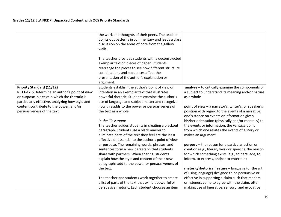|                                                                                                                                                                                                                                                                  | the work and thoughts of their peers. The teacher<br>points out patterns in commentary and leads a class<br>discussion on the areas of note from the gallery<br>walk.<br>The teacher provides students with a deconstructed<br>exemplar text on pieces of paper. Students<br>rearrange the pieces to see how different structure<br>combinations and sequences affect the                                                                                                                                                                                                                                                                                                                                                                                                                                    |                                                                                                                                                                                                                                                                                                                                                                                                                                                                                                                                                                                                                                                                                                                                           |
|------------------------------------------------------------------------------------------------------------------------------------------------------------------------------------------------------------------------------------------------------------------|--------------------------------------------------------------------------------------------------------------------------------------------------------------------------------------------------------------------------------------------------------------------------------------------------------------------------------------------------------------------------------------------------------------------------------------------------------------------------------------------------------------------------------------------------------------------------------------------------------------------------------------------------------------------------------------------------------------------------------------------------------------------------------------------------------------|-------------------------------------------------------------------------------------------------------------------------------------------------------------------------------------------------------------------------------------------------------------------------------------------------------------------------------------------------------------------------------------------------------------------------------------------------------------------------------------------------------------------------------------------------------------------------------------------------------------------------------------------------------------------------------------------------------------------------------------------|
|                                                                                                                                                                                                                                                                  | presentation of the author's explanation or                                                                                                                                                                                                                                                                                                                                                                                                                                                                                                                                                                                                                                                                                                                                                                  |                                                                                                                                                                                                                                                                                                                                                                                                                                                                                                                                                                                                                                                                                                                                           |
| <b>Priority Standard (11/12)</b><br>RI.11-12.6 Determine an author's point of view<br>or purpose in a text in which the rhetoric is<br>particularly effective, analyzing how style and<br>content contribute to the power, and/or<br>persuasiveness of the text. | argument.<br>Students establish the author's point of view or<br>intention in an exemplar text that illustrates<br>powerful rhetoric. Students examine the author's<br>use of language and subject matter and recognize<br>how this adds to the power or persuasiveness of<br>the text as a whole.<br>In the Classroom:<br>The teacher guides students in creating a blackout<br>paragraph. Students use a black marker to<br>eliminate parts of the text they feel are the least<br>effective or essential to the author's point of view<br>or purpose. The remaining words, phrases, and<br>sentences form a new paragraph that students<br>share with partners. When sharing, students<br>explain how the style and content of their new<br>paragraphs add to the power or persuasiveness of<br>the text. | analyze - to critically examine the components of<br>a subject to understand its meaning and/or nature<br>as a whole<br>point of view - a narrator's, writer's, or speaker's<br>position with regard to the events of a narrative;<br>one's stance on events or information given<br>his/her orientation (physically and/or mentally) to<br>the events or information; the vantage point<br>from which one relates the events of a story or<br>makes an argument<br><b>purpose</b> – the reason for a particular action or<br>creation (e.g., literary work or speech); the reason<br>for which something exists (e.g., to persuade, to<br>inform, to express, and/or to entertain)<br>rhetoric/rhetorical feature - language (or the art |
|                                                                                                                                                                                                                                                                  | The teacher and students work together to create<br>a list of parts of the text that exhibit powerful or<br>persuasive rhetoric. Each student chooses an item                                                                                                                                                                                                                                                                                                                                                                                                                                                                                                                                                                                                                                                | of using language) designed to be persuasive or<br>effective in supporting a claim such that readers<br>or listeners come to agree with the claim, often<br>making use of figurative, sensory, and evocative                                                                                                                                                                                                                                                                                                                                                                                                                                                                                                                              |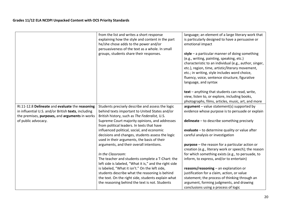|                                                                                                                                                          | from the list and writes a short response<br>explaining how the style and content in the part<br>he/she chose adds to the power and/or<br>persuasiveness of the text as a whole. In small<br>groups, students share their responses. | language; an element of a large literary work that<br>is particularly designed to have a persuasive or<br>emotional impact<br>style $-$ a particular manner of doing something<br>(e.g., writing, painting, speaking, etc.)<br>characteristic to an individual (e.g., author, singer,<br>etc.), region, time, artistic/literary movement,<br>etc.; in writing, style includes word choice,<br>fluency, voice, sentence structure, figurative<br>language, and syntax |
|----------------------------------------------------------------------------------------------------------------------------------------------------------|--------------------------------------------------------------------------------------------------------------------------------------------------------------------------------------------------------------------------------------|----------------------------------------------------------------------------------------------------------------------------------------------------------------------------------------------------------------------------------------------------------------------------------------------------------------------------------------------------------------------------------------------------------------------------------------------------------------------|
|                                                                                                                                                          |                                                                                                                                                                                                                                      | text - anything that students can read, write,<br>view, listen to, or explore, including books,<br>photographs, films, articles, music, art, and more                                                                                                                                                                                                                                                                                                                |
| RI.11-12.8 Delineate and evaluate the reasoning<br>in influential U.S. and/or British texts, including<br>the premises, purposes, and arguments in works | Students precisely describe and assess the logic<br>behind texts important to United States and/or<br>British history, such as The Federalist, U.S.                                                                                  | $argument - value statement(s) supported by$<br>evidence whose purpose is to persuade or explain                                                                                                                                                                                                                                                                                                                                                                     |
| of public advocacy.                                                                                                                                      | Supreme Court majority opinions, and addresses<br>from political leaders. In texts that have                                                                                                                                         | delineate - to describe something precisely                                                                                                                                                                                                                                                                                                                                                                                                                          |
|                                                                                                                                                          | influenced political, social, and economic<br>decisions and changes, students assess the logic<br>used in their arguments, the basis of their                                                                                        | evaluate - to determine quality or value after<br>careful analysis or investigation                                                                                                                                                                                                                                                                                                                                                                                  |
|                                                                                                                                                          | arguments, and their overall intentions.                                                                                                                                                                                             | purpose - the reason for a particular action or<br>creation (e.g., literary work or speech); the reason                                                                                                                                                                                                                                                                                                                                                              |
|                                                                                                                                                          | In the Classroom:<br>The teacher and students complete a T-Chart: the                                                                                                                                                                | for which something exists (e.g., to persuade, to<br>inform, to express, and/or to entertain)                                                                                                                                                                                                                                                                                                                                                                        |
|                                                                                                                                                          | left side is labeled, "What it is," and the right side                                                                                                                                                                               |                                                                                                                                                                                                                                                                                                                                                                                                                                                                      |
|                                                                                                                                                          | is labeled, "What it isn't." On the left side,                                                                                                                                                                                       | reasons/reasoning - an explanation or                                                                                                                                                                                                                                                                                                                                                                                                                                |
|                                                                                                                                                          | students describe what the reasoning is behind<br>the text. On the right side, students explain what                                                                                                                                 | justification for a claim, action, or value<br>statement; the process of thinking through an                                                                                                                                                                                                                                                                                                                                                                         |
|                                                                                                                                                          | the reasoning behind the text is not. Students                                                                                                                                                                                       | argument, forming judgments, and drawing<br>conclusions using a process of logic                                                                                                                                                                                                                                                                                                                                                                                     |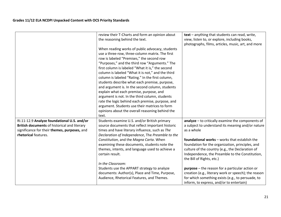|                                                                                                                                                                     | review their T-Charts and form an opinion about<br>the reasoning behind the text.                                                                                                                                                                                                                                                                                                                                                                                                                                                                                                                                                                                    | text - anything that students can read, write,<br>view, listen to, or explore, including books,<br>photographs, films, articles, music, art, and more                                                                                 |
|---------------------------------------------------------------------------------------------------------------------------------------------------------------------|----------------------------------------------------------------------------------------------------------------------------------------------------------------------------------------------------------------------------------------------------------------------------------------------------------------------------------------------------------------------------------------------------------------------------------------------------------------------------------------------------------------------------------------------------------------------------------------------------------------------------------------------------------------------|---------------------------------------------------------------------------------------------------------------------------------------------------------------------------------------------------------------------------------------|
|                                                                                                                                                                     | When reading works of public advocacy, students<br>use a three-row, three-column matrix. The first<br>row is labeled "Premises," the second row<br>"Purposes," and the third row "Arguments." The<br>first column is labeled "What it is," the second<br>column is labeled "What it is not," and the third<br>column is labeled "Rating." In the first column,<br>students describe what each premise, purpose,<br>and argument is. In the second column, students<br>explain what each premise, purpose, and<br>argument is not. In the third column, students<br>rate the logic behind each premise, purpose, and<br>argument. Students use their matrices to form |                                                                                                                                                                                                                                       |
|                                                                                                                                                                     | opinions about the overall reasoning behind the<br>text.                                                                                                                                                                                                                                                                                                                                                                                                                                                                                                                                                                                                             |                                                                                                                                                                                                                                       |
| RI.11-12.9 Analyze foundational U.S. and/or<br>British documents of historical and literary<br>significance for their themes, purposes, and<br>rhetorical features. | Students examine U.S. and/or British primary<br>source documents that reflect important historic<br>times and have literary influence, such as The<br>Declaration of Independence, The Preamble to the                                                                                                                                                                                                                                                                                                                                                                                                                                                               | $analyze - to critically examine the components of$<br>a subject to understand its meaning and/or nature<br>as a whole                                                                                                                |
|                                                                                                                                                                     | Constitution, and the Magna Carta. When<br>examining these documents, students note the<br>themes, intents, and language used to achieve a<br>certain result.                                                                                                                                                                                                                                                                                                                                                                                                                                                                                                        | foundational works - works that establish the<br>foundation for the organization, principles, and<br>culture of the country (e.g., the Declaration of<br>Independence, the Preamble to the Constitution,<br>the Bill of Rights, etc.) |
|                                                                                                                                                                     | In the Classroom:<br>Students use the APPART strategy to analyze<br>documents: Author(s), Place and Time, Purpose,<br>Audience, Rhetorical Features, and Themes.                                                                                                                                                                                                                                                                                                                                                                                                                                                                                                     | <b>purpose</b> – the reason for a particular action or<br>creation (e.g., literary work or speech); the reason<br>for which something exists (e.g., to persuade, to<br>inform, to express, and/or to entertain)                       |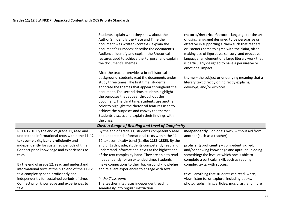|                                                                                            | Students explain what they know about the<br>Author(s); identify the Place and Time the<br>document was written (context); explain the<br>document's Purposes; describe the document's<br>Audience; identify and explain the Rhetorical<br>features used to achieve the Purpose; and explain<br>the document's Themes.<br>After the teacher provides a brief historical<br>background, students read the documents under<br>study three times. The first time, students | rhetoric/rhetorical feature - language (or the art<br>of using language) designed to be persuasive or<br>effective in supporting a claim such that readers<br>or listeners come to agree with the claim, often<br>making use of figurative, sensory, and evocative<br>language; an element of a large literary work that<br>is particularly designed to have a persuasive or<br>emotional impact<br>theme - the subject or underlying meaning that a<br>literary text directly or indirectly explains, |
|--------------------------------------------------------------------------------------------|-------------------------------------------------------------------------------------------------------------------------------------------------------------------------------------------------------------------------------------------------------------------------------------------------------------------------------------------------------------------------------------------------------------------------------------------------------------------------|--------------------------------------------------------------------------------------------------------------------------------------------------------------------------------------------------------------------------------------------------------------------------------------------------------------------------------------------------------------------------------------------------------------------------------------------------------------------------------------------------------|
|                                                                                            | annotate the themes that appear throughout the<br>document. The second time, students highlight<br>the purposes that appear throughout the<br>document. The third time, students use another<br>color to highlight the rhetorical features used to<br>achieve the purposes and convey the themes.<br>Students discuss and explain their findings with<br>the class.                                                                                                     | develops, and/or explores                                                                                                                                                                                                                                                                                                                                                                                                                                                                              |
|                                                                                            | <b>Cluster: Range of Reading and Level of Complexity</b>                                                                                                                                                                                                                                                                                                                                                                                                                |                                                                                                                                                                                                                                                                                                                                                                                                                                                                                                        |
| RI.11-12.10 By the end of grade 11, read and                                               | By the end of grade 11, students competently read                                                                                                                                                                                                                                                                                                                                                                                                                       | independently - on one's own, without aid from                                                                                                                                                                                                                                                                                                                                                                                                                                                         |
| understand informational texts within the 11-12                                            | and understand informational texts within the 11-                                                                                                                                                                                                                                                                                                                                                                                                                       | another (such as a teacher)                                                                                                                                                                                                                                                                                                                                                                                                                                                                            |
| text complexity band proficiently and                                                      | 12 text complexity band (Lexile: 1185-1385). By the                                                                                                                                                                                                                                                                                                                                                                                                                     |                                                                                                                                                                                                                                                                                                                                                                                                                                                                                                        |
| independently for sustained periods of time.<br>Connect prior knowledge and experiences to | end of 12th grade, students competently read and                                                                                                                                                                                                                                                                                                                                                                                                                        | proficient/proficiently - competent, skilled,                                                                                                                                                                                                                                                                                                                                                                                                                                                          |
| text.                                                                                      | understand informational texts at the highest end<br>of the text complexity band. They are able to read                                                                                                                                                                                                                                                                                                                                                                 | and/or showing knowledge and aptitude in doing<br>something; the level at which one is able to                                                                                                                                                                                                                                                                                                                                                                                                         |
|                                                                                            | independently for an extended time. Students                                                                                                                                                                                                                                                                                                                                                                                                                            | complete a particular skill, such as reading                                                                                                                                                                                                                                                                                                                                                                                                                                                           |
| By the end of grade 12, read and understand                                                | make connections to their background knowledge                                                                                                                                                                                                                                                                                                                                                                                                                          | complex texts, with success                                                                                                                                                                                                                                                                                                                                                                                                                                                                            |
| informational texts at the high end of the 11-12                                           | and relevant experiences to engage with text.                                                                                                                                                                                                                                                                                                                                                                                                                           |                                                                                                                                                                                                                                                                                                                                                                                                                                                                                                        |
| text complexity band proficiently and                                                      |                                                                                                                                                                                                                                                                                                                                                                                                                                                                         | text - anything that students can read, write,                                                                                                                                                                                                                                                                                                                                                                                                                                                         |
| independently for sustained periods of time.                                               | In the Classroom:                                                                                                                                                                                                                                                                                                                                                                                                                                                       | view, listen to, or explore, including books,                                                                                                                                                                                                                                                                                                                                                                                                                                                          |
| Connect prior knowledge and experiences to                                                 | The teacher integrates independent reading                                                                                                                                                                                                                                                                                                                                                                                                                              | photographs, films, articles, music, art, and more                                                                                                                                                                                                                                                                                                                                                                                                                                                     |
| text.                                                                                      | seamlessly into regular instruction.                                                                                                                                                                                                                                                                                                                                                                                                                                    |                                                                                                                                                                                                                                                                                                                                                                                                                                                                                                        |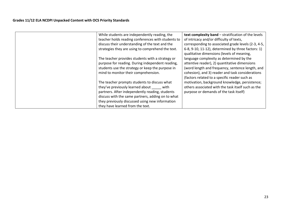| While students are independently reading, the      | text complexity band - stratification of the levels |
|----------------------------------------------------|-----------------------------------------------------|
| teacher holds reading conferences with students to | of intricacy and/or difficulty of texts,            |
| discuss their understanding of the text and the    | corresponding to associated grade levels (2-3, 4-5, |
| strategies they are using to comprehend the text.  | 6-8, 9-10, 11-12), determined by three factors: 1)  |
|                                                    | qualitative dimensions (levels of meaning,          |
| The teacher provides students with a strategy or   | language complexity as determined by the            |
| purpose for reading. During independent reading,   | attentive reader), 2) quantitative dimensions       |
| students use the strategy or keep the purpose in   | (word length and frequency, sentence length, and    |
| mind to monitor their comprehension.               | cohesion), and 3) reader and task considerations    |
|                                                    | (factors related to a specific reader such as       |
| The teacher prompts students to discuss what       | motivation, background knowledge, persistence;      |
| they've previously learned about<br>with           | others associated with the task itself such as the  |
| partners. After independently reading, students    | purpose or demands of the task itself)              |
| discuss with the same partners, adding on to what  |                                                     |
| they previously discussed using new information    |                                                     |
| they have learned from the text.                   |                                                     |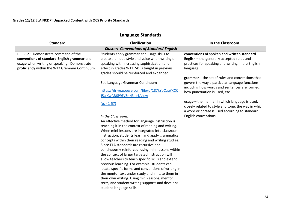# **Language Standards**

| <b>Standard</b>                                | <b>Clarification</b>                                | In the Classroom                                           |  |  |
|------------------------------------------------|-----------------------------------------------------|------------------------------------------------------------|--|--|
|                                                | <b>Cluster: Conventions of Standard English</b>     |                                                            |  |  |
| L.11-12.1 Demonstrate command of the           | Students apply grammar and usage skills to          | conventions of spoken and written standard                 |  |  |
| conventions of standard English grammar and    | create a unique style and voice when writing or     | English - the generally accepted rules and                 |  |  |
| usage when writing or speaking. Demonstrate    | speaking with increasing sophistication and         | practices for speaking and writing in the English          |  |  |
| proficiency within the 9-12 Grammar Continuum. | effect in grades 9-12. Skills taught in previous    | language.                                                  |  |  |
|                                                | grades should be reinforced and expanded.           |                                                            |  |  |
|                                                |                                                     | $\mathbf{grammar}$ – the set of rules and conventions that |  |  |
|                                                | See Language Grammar Continuum                      | govern the way a particular language functions,            |  |  |
|                                                |                                                     | including how words and sentences are formed,              |  |  |
|                                                | https://drive.google.com/file/d/187kYoCuuYXCK       | how punctuation is used, etc.                              |  |  |
|                                                | J5alKwAB6P9FyZnH3_z4/view                           |                                                            |  |  |
|                                                | $(p. 41-57)$                                        | usage - the manner in which language is used,              |  |  |
|                                                |                                                     | closely related to style and tone; the way in which        |  |  |
|                                                |                                                     | a word or phrase is used according to standard             |  |  |
|                                                | In the Classroom:                                   | English conventions                                        |  |  |
|                                                | An effective method for language instruction is     |                                                            |  |  |
|                                                | teaching it in the context of reading and writing.  |                                                            |  |  |
|                                                | When mini-lessons are integrated into classroom     |                                                            |  |  |
|                                                | instruction, students learn and apply grammatical   |                                                            |  |  |
|                                                | concepts within their reading and writing studies.  |                                                            |  |  |
|                                                | Since ELA standards are recursive and               |                                                            |  |  |
|                                                | continuously reinforced, using mini-lessons within  |                                                            |  |  |
|                                                | the context of larger targeted instruction will     |                                                            |  |  |
|                                                | allow teachers to teach specific skills and extend  |                                                            |  |  |
|                                                | previous learning. For example, students can        |                                                            |  |  |
|                                                | locate specific forms and conventions of writing in |                                                            |  |  |
|                                                | the mentor text under study and imitate them in     |                                                            |  |  |
|                                                | their own writing. Using mini-lessons, mentor       |                                                            |  |  |
|                                                | texts, and student writing supports and develops    |                                                            |  |  |
|                                                | student language skills.                            |                                                            |  |  |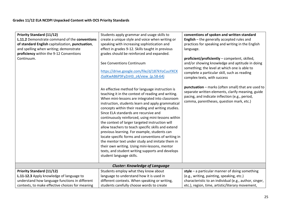| <b>Priority Standard (11/12)</b><br>L.11.2 Demonstrate command of the conventions<br>of standard English capitalization, punctuation,<br>and spelling when writing; demonstrate<br>proficiency within the 9-12 Conventions<br>Continuum. | Students apply grammar and usage skills to<br>create a unique style and voice when writing or<br>speaking with increasing sophistication and<br>effect in grades 9-12. Skills taught in previous<br>grades should be reinforced and expanded.<br>See Conventions Continuum<br>https://drive.google.com/file/d/187kYoCuuYXCK<br>J5alKwAB6P9FyZnH3 z4/view (p.58-64)<br>An effective method for language instruction is<br>teaching it in the context of reading and writing.<br>When mini-lessons are integrated into classroom<br>instruction, students learn and apply grammatical<br>concepts within their reading and writing studies.<br>Since ELA standards are recursive and<br>continuously reinforced, using mini-lessons within<br>the context of larger targeted instruction will<br>allow teachers to teach specific skills and extend<br>previous learning. For example, students can<br>locate specific forms and conventions of writing in<br>the mentor text under study and imitate them in<br>their own writing. Using mini-lessons, mentor<br>texts, and student writing supports and develops<br>student language skills.<br><b>Cluster: Knowledge of Language</b> | conventions of spoken and written standard<br>English - the generally accepted rules and<br>practices for speaking and writing in the English<br>language.<br>proficient/proficiently - competent, skilled,<br>and/or showing knowledge and aptitude in doing<br>something; the level at which one is able to<br>complete a particular skill, such as reading<br>complex texts, with success<br>punctuation - marks (often small) that are used to<br>separate written elements, clarify meaning, guide<br>pacing, and indicate inflection (e.g., period,<br>comma, parentheses, question mark, etc.) |
|------------------------------------------------------------------------------------------------------------------------------------------------------------------------------------------------------------------------------------------|---------------------------------------------------------------------------------------------------------------------------------------------------------------------------------------------------------------------------------------------------------------------------------------------------------------------------------------------------------------------------------------------------------------------------------------------------------------------------------------------------------------------------------------------------------------------------------------------------------------------------------------------------------------------------------------------------------------------------------------------------------------------------------------------------------------------------------------------------------------------------------------------------------------------------------------------------------------------------------------------------------------------------------------------------------------------------------------------------------------------------------------------------------------------------------------|-------------------------------------------------------------------------------------------------------------------------------------------------------------------------------------------------------------------------------------------------------------------------------------------------------------------------------------------------------------------------------------------------------------------------------------------------------------------------------------------------------------------------------------------------------------------------------------------------------|
| <b>Priority Standard (11/12)</b>                                                                                                                                                                                                         | Students employ what they know about                                                                                                                                                                                                                                                                                                                                                                                                                                                                                                                                                                                                                                                                                                                                                                                                                                                                                                                                                                                                                                                                                                                                                  | style $-$ a particular manner of doing something                                                                                                                                                                                                                                                                                                                                                                                                                                                                                                                                                      |
| L.11-12.3 Apply knowledge of language to                                                                                                                                                                                                 | language to understand how it is used in                                                                                                                                                                                                                                                                                                                                                                                                                                                                                                                                                                                                                                                                                                                                                                                                                                                                                                                                                                                                                                                                                                                                              | (e.g., writing, painting, speaking, etc.)                                                                                                                                                                                                                                                                                                                                                                                                                                                                                                                                                             |
| understand how language functions in different                                                                                                                                                                                           | different contexts. When speaking or writing,                                                                                                                                                                                                                                                                                                                                                                                                                                                                                                                                                                                                                                                                                                                                                                                                                                                                                                                                                                                                                                                                                                                                         | characteristic to an individual (e.g., author, singer,                                                                                                                                                                                                                                                                                                                                                                                                                                                                                                                                                |
| contexts, to make effective choices for meaning                                                                                                                                                                                          | students carefully choose words to create                                                                                                                                                                                                                                                                                                                                                                                                                                                                                                                                                                                                                                                                                                                                                                                                                                                                                                                                                                                                                                                                                                                                             | etc.), region, time, artistic/literary movement,                                                                                                                                                                                                                                                                                                                                                                                                                                                                                                                                                      |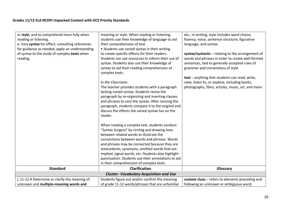| or style, and to comprehend more fully when                                                                | meaning or style. When reading or listening,                                                                                                                                                                                                                                                                                                                                                                                                                                                                                                               | etc.; in writing, style includes word choice,                                                                                                                                                                                                                                                                                                          |  |
|------------------------------------------------------------------------------------------------------------|------------------------------------------------------------------------------------------------------------------------------------------------------------------------------------------------------------------------------------------------------------------------------------------------------------------------------------------------------------------------------------------------------------------------------------------------------------------------------------------------------------------------------------------------------------|--------------------------------------------------------------------------------------------------------------------------------------------------------------------------------------------------------------------------------------------------------------------------------------------------------------------------------------------------------|--|
| reading or listening.<br>a. Vary syntax for effect, consulting references                                  | students use their knowledge of language to aid<br>their comprehension of text.                                                                                                                                                                                                                                                                                                                                                                                                                                                                            | fluency, voice, sentence structure, figurative<br>language, and syntax.                                                                                                                                                                                                                                                                                |  |
|                                                                                                            |                                                                                                                                                                                                                                                                                                                                                                                                                                                                                                                                                            |                                                                                                                                                                                                                                                                                                                                                        |  |
| for guidance as needed; apply an understanding<br>of syntax to the study of complex texts when<br>reading. | • Students use varied syntax in their writing<br>to create specific effects for their readers.<br>Students can use resources to inform their use of<br>syntax. Students also use their knowledge of<br>syntax to aid their reading comprehension of<br>complex texts.<br>In the Classroom:<br>The teacher provides students with a paragraph<br>lacking varied syntax. Students revise the<br>paragraph by re-organizing and inserting clauses<br>and phrases to vary the syntax. After revising the<br>paragraph, students compare it to the original and | syntax/syntactic $-$ relating to the arrangement of<br>words and phrases in order to create well-formed<br>sentences, tied to generally accepted rules of<br>grammar and conventions of style<br>text - anything that students can read, write,<br>view, listen to, or explore, including books,<br>photographs, films, articles, music, art, and more |  |
| <b>Standard</b>                                                                                            | discuss the effects the varied syntax has on the<br>reader.<br>When reading a complex text, students conduct<br>"Syntax Surgery" by circling and drawing lines<br>between related words to illustrate the<br>connections between words and phrases. Words<br>and phrases may be connected because they are<br>antecedents, synonyms, omitted words that are<br>implied, signal words, etc. Students also highlight<br>punctuation. Students use their annotations to aid<br>in their comprehension of complex texts.<br><b>Clarification</b>               | Glossary                                                                                                                                                                                                                                                                                                                                               |  |
|                                                                                                            |                                                                                                                                                                                                                                                                                                                                                                                                                                                                                                                                                            |                                                                                                                                                                                                                                                                                                                                                        |  |
| <b>Cluster- Vocabulary Acquisition and Use</b>                                                             |                                                                                                                                                                                                                                                                                                                                                                                                                                                                                                                                                            |                                                                                                                                                                                                                                                                                                                                                        |  |
| L.11-12.4 Determine or clarify the meaning of                                                              | Students figure out and/or confirm the meaning                                                                                                                                                                                                                                                                                                                                                                                                                                                                                                             | context clues - refers to elements preceding and                                                                                                                                                                                                                                                                                                       |  |
| unknown and multiple-meaning words and                                                                     | of grade 11-12 words/phrases that are unfamiliar                                                                                                                                                                                                                                                                                                                                                                                                                                                                                                           | following an unknown or ambiguous word,                                                                                                                                                                                                                                                                                                                |  |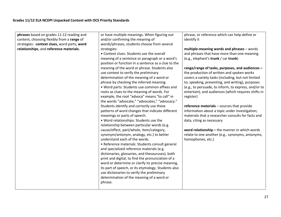| phrases based on grades 11-12 reading and                                                                                            | or have multiple meanings. When figuring out                                                                                                                                                                                                                                                                                                                                                                                                                                                                                                                                                                                                                                                                                                                                                                                                                                                                                                                                                                                                                                                                                                                                                                                                                | phrase, or reference which can help define or                                                                                                                                                                                                                                                                                                                                                                                                                                                                                                                                                                                                                                                                                                                                                        |
|--------------------------------------------------------------------------------------------------------------------------------------|-------------------------------------------------------------------------------------------------------------------------------------------------------------------------------------------------------------------------------------------------------------------------------------------------------------------------------------------------------------------------------------------------------------------------------------------------------------------------------------------------------------------------------------------------------------------------------------------------------------------------------------------------------------------------------------------------------------------------------------------------------------------------------------------------------------------------------------------------------------------------------------------------------------------------------------------------------------------------------------------------------------------------------------------------------------------------------------------------------------------------------------------------------------------------------------------------------------------------------------------------------------|------------------------------------------------------------------------------------------------------------------------------------------------------------------------------------------------------------------------------------------------------------------------------------------------------------------------------------------------------------------------------------------------------------------------------------------------------------------------------------------------------------------------------------------------------------------------------------------------------------------------------------------------------------------------------------------------------------------------------------------------------------------------------------------------------|
|                                                                                                                                      |                                                                                                                                                                                                                                                                                                                                                                                                                                                                                                                                                                                                                                                                                                                                                                                                                                                                                                                                                                                                                                                                                                                                                                                                                                                             |                                                                                                                                                                                                                                                                                                                                                                                                                                                                                                                                                                                                                                                                                                                                                                                                      |
| content, choosing flexibly from a range of<br>strategies: context clues, word parts, word<br>relationships, and reference materials. | and/or confirming the meaning of<br>words/phrases, students choose from several<br>strategies:<br>• Context clues: Students use the overall<br>meaning of a sentence or paragraph or a word's<br>position or function in a sentence as a clue to the<br>meaning of the word or phrase. Students also<br>use context to verify the preliminary<br>determination of the meaning of a word or<br>phrase by checking the inferred meaning.<br>. Word parts: Students use common affixes and<br>roots as clues to the meaning of words. For<br>example, the root "advoca" means "to call" in<br>the words "advocate," "advocates," "advocacy."<br>Students identify and correctly use these<br>patterns of word changes that indicate different<br>meanings or parts of speech.<br>. Word relationships: Students use the<br>relationship between particular words (e.g.<br>cause/effect, part/whole, item/category,<br>synonym/antonym, analogy, etc.) to better<br>understand each of the words.<br>• Reference materials: Students consult general<br>and specialized reference materials (e.g.<br>dictionaries, glossaries, and thesauruses), both<br>print and digital, to find the pronunciation of a<br>word or determine or clarify its precise meaning, | identify it<br>multiple-meaning words and phrases - words<br>and phrases that have more than one meaning<br>(e.g., elephant's trunk / car trunk)<br>range/range of tasks, purposes, and audiences -<br>the production of written and spoken works<br>covers a variety tasks (including, but not limited<br>to, speaking, presenting, and writing), purposes<br>(e.g., to persuade, to inform, to express, and/or to<br>entertain), and audiences (which requires shifts in<br>register)<br>reference materials - sources that provide<br>information about a topic under investigation;<br>materials that a researcher consults for facts and<br>data, citing as necessary<br>word relationship - the manner in which words<br>relate to one another (e.g., synonyms, antonyms,<br>homophones, etc.) |
|                                                                                                                                      | its part of speech, or its etymology. Students also<br>use dictionaries to verify the preliminary<br>determination of the meaning of a word or                                                                                                                                                                                                                                                                                                                                                                                                                                                                                                                                                                                                                                                                                                                                                                                                                                                                                                                                                                                                                                                                                                              |                                                                                                                                                                                                                                                                                                                                                                                                                                                                                                                                                                                                                                                                                                                                                                                                      |
|                                                                                                                                      | phrase.                                                                                                                                                                                                                                                                                                                                                                                                                                                                                                                                                                                                                                                                                                                                                                                                                                                                                                                                                                                                                                                                                                                                                                                                                                                     |                                                                                                                                                                                                                                                                                                                                                                                                                                                                                                                                                                                                                                                                                                                                                                                                      |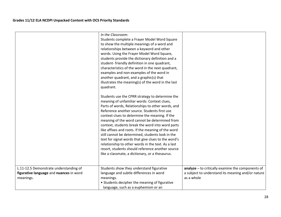|                                                                                                | In the Classroom:<br>Students complete a Frayer Model Word Square<br>to show the multiple meanings of a word and<br>relationships between a keyword and other<br>words. Using the Frayer Model Word Square,<br>students provide the dictionary definition and a<br>student-friendly definition in one quadrant,<br>characteristics of the word in the next quadrant,<br>examples and non-examples of the word in<br>another quadrant, and a graphic(s) that<br>illustrates the meaning(s) of the word in the last<br>quadrant.                                                                                                                                                           |                                                                                                                        |
|------------------------------------------------------------------------------------------------|------------------------------------------------------------------------------------------------------------------------------------------------------------------------------------------------------------------------------------------------------------------------------------------------------------------------------------------------------------------------------------------------------------------------------------------------------------------------------------------------------------------------------------------------------------------------------------------------------------------------------------------------------------------------------------------|------------------------------------------------------------------------------------------------------------------------|
|                                                                                                | Students use the CPRR strategy to determine the<br>meaning of unfamiliar words: Context clues,<br>Parts of words, Relationships to other words, and<br>Reference another source. Students first use<br>context clues to determine the meaning. If the<br>meaning of the word cannot be determined from<br>context, students break the word into word parts<br>like affixes and roots. If the meaning of the word<br>still cannot be determined, students look in the<br>text for signal words that give clues to the word's<br>relationship to other words in the text. As a last<br>resort, students should reference another source<br>like a classmate, a dictionary, or a thesaurus. |                                                                                                                        |
| L.11-12.5 Demonstrate understanding of<br>figurative language and nuances in word<br>meanings. | Students show they understand figurative<br>language and subtle differences in word<br>meanings.<br>• Students decipher the meaning of figurative<br>language, such as a euphemism or an                                                                                                                                                                                                                                                                                                                                                                                                                                                                                                 | $analyze - to critically examine the components of$<br>a subject to understand its meaning and/or nature<br>as a whole |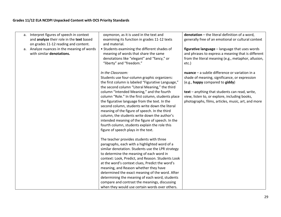| a. | Interpret figures of speech in context<br>and analyze their role in the text based<br>on grades 11-12 reading and content.<br>a. Analyze nuances in the meaning of words<br>with similar denotations. | oxymoron, as it is used in the text and<br>examining its function in grades 11-12 texts<br>and material.<br>• Students examining the different shades of<br>meaning of words that share the same<br>denotations like "elegant" and "fancy," or<br>"liberty" and "freedom."                                                                                                                                                                                                                                                                                                                                                   | denotation - the literal definition of a word,<br>generally free of an emotional or cultural context<br>figurative language - language that uses words<br>and phrases to express a meaning that is different<br>from the literal meaning (e.g., metaphor, allusion,<br>etc.)                  |
|----|-------------------------------------------------------------------------------------------------------------------------------------------------------------------------------------------------------|------------------------------------------------------------------------------------------------------------------------------------------------------------------------------------------------------------------------------------------------------------------------------------------------------------------------------------------------------------------------------------------------------------------------------------------------------------------------------------------------------------------------------------------------------------------------------------------------------------------------------|-----------------------------------------------------------------------------------------------------------------------------------------------------------------------------------------------------------------------------------------------------------------------------------------------|
|    |                                                                                                                                                                                                       | In the Classroom:<br>Students use four-column graphic organizers:<br>the first column is labeled "Figurative Language,"<br>the second column "Literal Meaning," the third<br>column "Intended Meaning," and the fourth<br>column "Role." In the first column, students place<br>the figurative language from the text. In the<br>second column, students write down the literal<br>meaning of the figure of speech. In the third<br>column, the students write down the author's<br>intended meaning of the figure of speech. In the<br>fourth column, students explain the role this<br>figure of speech plays in the text. | $nuance - a subtle difference or variation in a$<br>shade of meaning, significance, or expression<br>(e.g., happy compared to giddy)<br>text - anything that students can read, write,<br>view, listen to, or explore, including books,<br>photographs, films, articles, music, art, and more |
|    |                                                                                                                                                                                                       | The teacher provides students with three<br>paragraphs, each with a highlighted word of a<br>similar denotation. Students use the LPR strategy<br>to determine the meaning of each word in<br>context: Look, Predict, and Reason. Students Look<br>at the word's context clues, Predict the word's<br>meaning, and Reason whether they have<br>determined the exact meaning of the word. After<br>determining the meaning of each word, students<br>compare and contrast the meanings, discussing<br>when they would use certain words over others.                                                                          |                                                                                                                                                                                                                                                                                               |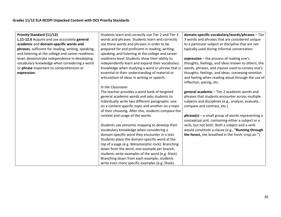| <b>Priority Standard (11/12)</b>                    | Students learn and correctly use Tier 2 and Tier 3  | domain-specific vocabulary/words/phrases - Tier     |
|-----------------------------------------------------|-----------------------------------------------------|-----------------------------------------------------|
| L.11-12.6 Acquire and use accurately general        | words and phrases. Students learn and correctly     | 3 words and phrases that are considered unique      |
| academic and domain-specific words and              | use these words and phrases in order to be          | to a particular subject or discipline that are not  |
| phrases, sufficient for reading, writing, speaking, | prepared for and proficient in reading, writing,    | typically used during informal conversation         |
| and listening at the college and career readiness   | speaking, and listening at the college and career   |                                                     |
| level; demonstrate independence in developing       | readiness level. Students show their ability to     | expression $-$ the process of making one's          |
|                                                     |                                                     |                                                     |
| vocabulary knowledge when considering a word        | independently learn and expand their vocabulary     | thoughts, feelings, and ideas known to others; the  |
| or phrase important to comprehension or             | knowledge when studying a word or phrase that is    | words, phrases, and clauses used to convey one's    |
| expression.                                         | essential to their understanding of material or     | thoughts, feelings, and ideas; conveying emotion    |
|                                                     | articulation of ideas in writing or speech.         | and feeling when reading aloud through the use of   |
|                                                     |                                                     | inflection, pacing, etc.                            |
|                                                     | In the Classroom:                                   |                                                     |
|                                                     | The teacher provides a word bank of targeted        | general academic - Tier 2 academic words and        |
|                                                     | general academic words and asks students to         | phrases that students encounter across multiple     |
|                                                     | individually write two different paragraphs: one    | subjects and disciplines (e.g., analyze, evaluate,  |
|                                                     | on a content specific topic and another on a topic  | compare and contrast, etc.)                         |
|                                                     | of their choosing. After this, students compare the |                                                     |
|                                                     | context and usage of the words.                     | $phrase(s)$ – a small group of words representing a |
|                                                     |                                                     | conceptual unit, containing either a subject or a   |
|                                                     | Students use semantic mapping to develop their      | verb, but not both. Both a subject and a verb       |
|                                                     | vocabulary knowledge when considering a             | would constitute a clause (e.g., "Running through   |
|                                                     | domain-specific word they encounter in a text.      | the forest, she breathed in the fresh, crisp air.") |
|                                                     | Students place the domain-specific word at the      |                                                     |
|                                                     | top of a page (e.g. Metamorphic rock). Branching    |                                                     |
|                                                     | down from the word, one example per branch,         |                                                     |
|                                                     | students write examples of the word (e.g. Slate).   |                                                     |
|                                                     |                                                     |                                                     |
|                                                     | Branching down from each example, students          |                                                     |
|                                                     | write even more specific examples (e.g. Shale).     |                                                     |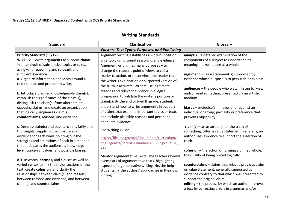## **Writing Standards**

| <b>Standard</b>                                                                                                                                                                                                                                                                                                                           | <b>Clarification</b>                                                                                                                                                                                                                                                                                                                                                                                                                                     | Glossary                                                                                                                                                                                                                                                                                                                                 |
|-------------------------------------------------------------------------------------------------------------------------------------------------------------------------------------------------------------------------------------------------------------------------------------------------------------------------------------------|----------------------------------------------------------------------------------------------------------------------------------------------------------------------------------------------------------------------------------------------------------------------------------------------------------------------------------------------------------------------------------------------------------------------------------------------------------|------------------------------------------------------------------------------------------------------------------------------------------------------------------------------------------------------------------------------------------------------------------------------------------------------------------------------------------|
|                                                                                                                                                                                                                                                                                                                                           | <b>Cluster: Text Types, Purposes, and Publishing</b>                                                                                                                                                                                                                                                                                                                                                                                                     |                                                                                                                                                                                                                                                                                                                                          |
| <b>Priority Standard (11/12)</b><br>W.11-12.1 Write arguments to support claims<br>in an analysis of substantive topics or texts,<br>using valid reasoning and relevant and<br>sufficient evidence.<br>a. Organize information and ideas around a<br>topic to plan and prepare to write.<br>b. Introduce precise, knowledgeable claim(s), | Argument writing establishes a writer's position<br>on a topic using sound reasoning and evidence.<br>Argument writing has many purposes - to<br>change the reader's point of view, to call a<br>reader to action, or to convince the reader that<br>the writer's explanation or purported version of<br>the truth is accurate. Writers use legitimate<br>reasons and relevant evidence in a logical<br>progression to validate the writer's position or | $analysis - a detailed examination of the$<br>components of a subject to understand its<br>meaning and/or nature as a whole<br>$argument - value statement(s) supported by$<br>evidence whose purpose is to persuade or explain<br>audiences - the people who watch, listen to, view,<br>and/or read something presented via an artistic |
| establish the significance of the claim(s),<br>distinguish the claim(s) from alternate or<br>opposing claims, and create an organization<br>that logically sequences claim(s),<br>counterclaims, reasons, and evidence.                                                                                                                   | claim(s). By the end of twelfth grade, students<br>understand how to write arguments in support<br>of claims that examine important topics or texts<br>and include plausible reasons and pertinent,<br>adequate evidence.                                                                                                                                                                                                                                | medium<br><b>biases</b> – prejudice(s) in favor of or against an<br>individual or group; partiality or preference that<br>prevents objectivity                                                                                                                                                                                           |
| c. Develop claim(s) and counterclaims fairly and<br>thoroughly, supplying the most relevant<br>evidence for each while pointing out the<br>strengths and limitations of both in a manner<br>that anticipates the audience's knowledge<br>level, concerns, values, and possible biases.                                                    | See Writing Guide<br>https://files.nc.gov/dpi/documents/curriculum/l<br>anguagearts/parents/standards-11-12.pdf (p. 20,<br>21)                                                                                                                                                                                                                                                                                                                           | $claim(s)$ – an assertion(s) of the truth of<br>something, often a value statement; generally, an<br>author uses evidence to support the assertion of<br>truth.<br>cohesion $-$ the action of forming a unified whole;                                                                                                                   |
| d. Use words, phrases, and clauses as well as<br>varied syntax to link the major sections of the<br>text, create cohesion, and clarify the<br>relationships between claim(s) and reasons,<br>between reasons and evidence, and between<br>claim(s) and counterclaims.                                                                     | Mentor Argumentative Texts: The teacher reviews<br>exemplars of argumentative texts, highlighting<br>aspects of argumentative writing. He/she helps<br>students try the authors' approaches in their own<br>writing.                                                                                                                                                                                                                                     | the quality of being united logically<br>counterclaims - claims that rebut a previous claim<br>or value statement, generally supported by<br>evidence contrary to that which was presented to<br>support the original claim<br>editing - the process by which an author improves<br>a text by correcting errors in grammar and/or        |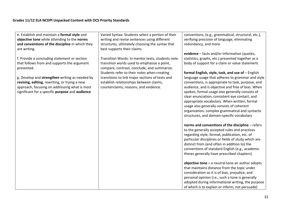| e. Establish and maintain a formal style and<br>objective tone while attending to the norms<br>and conventions of the discipline in which they<br>are writing.                                               | Varied Syntax: Students select a portion of their<br>writing and revise sentences using different<br>structures, ultimately choosing the syntax that<br>best supports their claims.                                                                                                         | conventions, (e.g., grammatical, structural, etc.),<br>verifying precision of language, eliminating<br>redundancy, and more                                                                                                                                                                                                                                |
|--------------------------------------------------------------------------------------------------------------------------------------------------------------------------------------------------------------|---------------------------------------------------------------------------------------------------------------------------------------------------------------------------------------------------------------------------------------------------------------------------------------------|------------------------------------------------------------------------------------------------------------------------------------------------------------------------------------------------------------------------------------------------------------------------------------------------------------------------------------------------------------|
| f. Provide a concluding statement or section<br>that follows from and supports the argument<br>presented.<br>g. Develop and strengthen writing as needed by<br>revising, editing, rewriting, or trying a new | Transition Words: In mentor texts, students note<br>transition words used to emphasize a point,<br>compare, contrast, conclude, and summarize.<br>Students refer to their notes when creating<br>transitions to link major sections of texts and<br>establish relationships between claims, | evidence - facts and/or information (quotes,<br>statistics, graphs, etc.) presented together as a<br>body of support for a claim or value statement.<br>formal English, style, task, and use of - English<br>language usage that adheres to grammar and style<br>conventions, is appropriate to task, purpose, and                                         |
| approach, focusing on addressing what is most<br>significant for a specific purpose and audience                                                                                                             | counterclaims, reasons, and evidence.                                                                                                                                                                                                                                                       | audience, and is objective and free of bias. When<br>spoken, formal usage also generally consists of<br>clear enunciation, consistent eye contact, and<br>appropriate vocabulary. When written, formal<br>usage also generally consists of coherent<br>organization, complex grammatical and syntactic<br>structures, and domain-specific vocabulary       |
|                                                                                                                                                                                                              |                                                                                                                                                                                                                                                                                             | norms and conventions of the discipline - refers<br>to the generally accepted rules and practices<br>regarding style, format, publication, etc. of<br>particular disciplines or fields of study which are<br>distinct from (and often in addition to) the<br>conventions of standard English (e.g., academic<br>theses generally have prescribed chapters) |
|                                                                                                                                                                                                              |                                                                                                                                                                                                                                                                                             | objective tone $-$ a neutral tone an author adopts<br>that maintains distance from the topic under<br>consideration so it is of bias, prejudice, and<br>personal opinion (i.e., such a tone is generally<br>adopted during informational writing, the purpose<br>of which is to explain or inform, not persuade)                                           |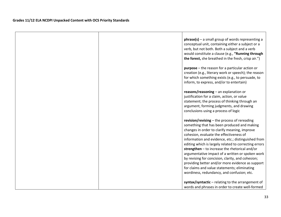| phrase(s) - a small group of words representing a<br>conceptual unit, containing either a subject or a<br>verb, but not both. Both a subject and a verb<br>would constitute a clause (e.g., "Running through<br>the forest, she breathed in the fresh, crisp air.")                                                                                                                                                                                                |
|--------------------------------------------------------------------------------------------------------------------------------------------------------------------------------------------------------------------------------------------------------------------------------------------------------------------------------------------------------------------------------------------------------------------------------------------------------------------|
| <b>purpose</b> – the reason for a particular action or<br>creation (e.g., literary work or speech); the reason<br>for which something exists (e.g., to persuade, to<br>inform, to express, and/or to entertain)                                                                                                                                                                                                                                                    |
| reasons/reasoning - an explanation or<br>justification for a claim, action, or value<br>statement; the process of thinking through an<br>argument, forming judgments, and drawing<br>conclusions using a process of logic                                                                                                                                                                                                                                          |
| revision/revising - the process of rereading<br>something that has been produced and making<br>changes in order to clarify meaning, improve<br>cohesion, evaluate the effectiveness of<br>information and evidence, etc.; distinguished from<br>editing which is largely related to correcting errors<br>strengthen $-$ to increase the rhetorical and/or<br>argumentative impact of a written or spoken work<br>by revising for concision, clarity, and cohesion; |
| providing better and/or more evidence as support<br>for claims and value statements; eliminating<br>wordiness, redundancy, and confusion; etc.                                                                                                                                                                                                                                                                                                                     |
| syntax/syntactic - relating to the arrangement of<br>words and phrases in order to create well-formed                                                                                                                                                                                                                                                                                                                                                              |

<u> 1980 - Jan Samuel Barbara, martin da shekara ta 1980 - An tsara tsara tsara tsara tsara tsara tsara tsara tsa</u>

 $\overline{\phantom{a}}$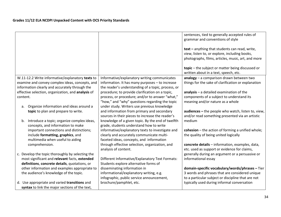|                                                    |                                                    | sentences, tied to generally accepted rules of      |
|----------------------------------------------------|----------------------------------------------------|-----------------------------------------------------|
|                                                    |                                                    | grammar and conventions of style                    |
|                                                    |                                                    |                                                     |
|                                                    |                                                    | text - anything that students can read, write,      |
|                                                    |                                                    |                                                     |
|                                                    |                                                    | view, listen to, or explore, including books,       |
|                                                    |                                                    | photographs, films, articles, music, art, and more  |
|                                                    |                                                    |                                                     |
|                                                    |                                                    | topic - the subject or matter being discussed or    |
|                                                    |                                                    | written about in a text, speech, etc.               |
| W.11-12.2 Write informative/explanatory texts to   | Informative/explanatory writing communicates       | analogy - a comparison drawn between two            |
|                                                    |                                                    |                                                     |
| examine and convey complex ideas, concepts, and    | information. It has many purposes - to increase    | things for the sake of clarification or explanation |
| information clearly and accurately through the     | the reader's understanding of a topic, process, or |                                                     |
| effective selection, organization, and analysis of | procedure; to provide clarification on a topic,    | $analysis - a detailed examination of the$          |
| content.                                           | process, or procedure; and/or to answer "what,"    | components of a subject to understand its           |
|                                                    | "how," and "why" questions regarding the topic     | meaning and/or nature as a whole                    |
| Organize information and ideas around a<br>a.      | under study. Writers use previous knowledge        |                                                     |
| topic to plan and prepare to write.                | and information from primary and secondary         | audiences - the people who watch, listen to, view,  |
|                                                    | sources in their pieces to increase the reader's   | and/or read something presented via an artistic     |
| Introduce a topic; organize complex ideas,<br>b.   | knowledge of a given topic. By the end of twelfth  | medium                                              |
| concepts, and information to make                  | grade, students understand how to write            |                                                     |
| important connections and distinctions;            | informative/explanatory texts to investigate and   | cohesion $-$ the action of forming a unified whole; |
|                                                    |                                                    |                                                     |
| include formatting, graphics, and                  | clearly and accurately communicate multi-          | the quality of being united logically               |
| multimedia when useful to aiding                   | faceted ideas, concepts, and information           |                                                     |
| comprehension.                                     | through effective selection, organization, and     | concrete details - information, examples, data,     |
|                                                    | analysis of content.                               | etc. used as support or evidence for claims,        |
| c. Develop the topic thoroughly by selecting the   |                                                    | generally during an argument or a persuasive or     |
| most significant and relevant facts, extended      | Different Informative/Explanatory Text Formats:    | informational essay                                 |
| definitions, concrete details, quotations, or      | Students explore alternative forms of              |                                                     |
| other information and examples appropriate to      | disseminating information in                       | domain-specific vocabulary/words/phrases - Tier     |
| the audience's knowledge of the topic.             | informational/explanatory writing, e.g.            | 3 words and phrases that are considered unique      |
|                                                    | infographic, public service announcement,          | to a particular subject or discipline that are not  |
|                                                    |                                                    |                                                     |
| d. Use appropriate and varied transitions and      | brochure/pamphlet, etc.                            | typically used during informal conversation         |
| syntax to link the major sections of the text,     |                                                    |                                                     |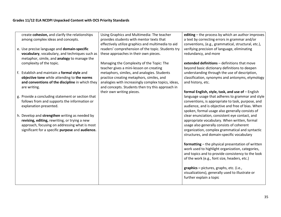| create cohesion, and clarify the relationships<br>among complex ideas and concepts.                                                                            | Using Graphics and Multimedia: The teacher<br>provides students with mentor texts that                                                                                                             | editing - the process by which an author improves<br>a text by correcting errors in grammar and/or                                                                                                         |
|----------------------------------------------------------------------------------------------------------------------------------------------------------------|----------------------------------------------------------------------------------------------------------------------------------------------------------------------------------------------------|------------------------------------------------------------------------------------------------------------------------------------------------------------------------------------------------------------|
| e. Use precise language and domain-specific<br>vocabulary, vocabulary, and techniques such as<br>metaphor, simile, and analogy to manage the                   | effectively utilize graphics and multimedia to aid<br>readers' comprehension of the topic. Students try<br>these approaches in their own pieces.                                                   | conventions, (e.g., grammatical, structural, etc.),<br>verifying precision of language, eliminating<br>redundancy, and more                                                                                |
| complexity of the topic.                                                                                                                                       | Managing the Complexity of the Topic: The<br>teacher gives a mini-lesson on creating                                                                                                               | extended definitions - definitions that move<br>beyond basic dictionary definitions to deepen                                                                                                              |
| f. Establish and maintain a formal style and<br>objective tone while attending to the norms<br>and conventions of the discipline in which they<br>are writing. | metaphors, similes, and analogies. Students<br>practice creating metaphors, similes, and<br>analogies with increasingly complex topics, ideas,<br>and concepts. Students then try this approach in | understanding through the use of description,<br>classification, synonyms and antonyms, etymology<br>and history, etc.                                                                                     |
| g. Provide a concluding statement or section that                                                                                                              | their own writing pieces.                                                                                                                                                                          | formal English, style, task, and use of - English<br>language usage that adheres to grammar and style                                                                                                      |
| follows from and supports the information or<br>explanation presented.                                                                                         |                                                                                                                                                                                                    | conventions, is appropriate to task, purpose, and<br>audience, and is objective and free of bias. When<br>spoken, formal usage also generally consists of                                                  |
| h. Develop and strengthen writing as needed by<br>revising, editing, rewriting, or trying a new<br>approach, focusing on addressing what is most               |                                                                                                                                                                                                    | clear enunciation, consistent eye contact, and<br>appropriate vocabulary. When written, formal<br>usage also generally consists of coherent                                                                |
| significant for a specific purpose and audience.                                                                                                               |                                                                                                                                                                                                    | organization, complex grammatical and syntactic<br>structures, and domain-specific vocabulary                                                                                                              |
|                                                                                                                                                                |                                                                                                                                                                                                    | formatting - the physical presentation of written<br>work used to highlight organization, categories,<br>and topics and to provide consistency to the look<br>of the work (e.g., font size, headers, etc.) |
|                                                                                                                                                                |                                                                                                                                                                                                    | graphics - pictures, graphs, etc. (i.e.,<br>visualizations), generally used to illustrate or<br>further explain a topic                                                                                    |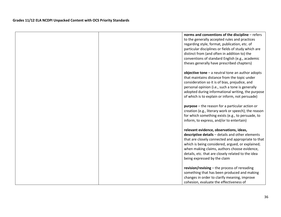| norms and conventions of the discipline - refers<br>to the generally accepted rules and practices<br>regarding style, format, publication, etc. of<br>particular disciplines or fields of study which are<br>distinct from (and often in addition to) the<br>conventions of standard English (e.g., academic<br>theses generally have prescribed chapters) |
|------------------------------------------------------------------------------------------------------------------------------------------------------------------------------------------------------------------------------------------------------------------------------------------------------------------------------------------------------------|
| objective tone $-$ a neutral tone an author adopts<br>that maintains distance from the topic under<br>consideration so it is of bias, prejudice, and<br>personal opinion (i.e., such a tone is generally<br>adopted during informational writing, the purpose<br>of which is to explain or inform, not persuade)                                           |
| <b>purpose</b> – the reason for a particular action or<br>creation (e.g., literary work or speech); the reason<br>for which something exists (e.g., to persuade, to<br>inform, to express, and/or to entertain)                                                                                                                                            |
| relevant evidence, observations, ideas,<br>descriptive details - details and other elements<br>that are closely connected and appropriate to that<br>which is being considered, argued, or explained;<br>when making claims, authors choose evidence,<br>details, etc. that are closely related to the idea<br>being expressed by the claim                |
| revision/revising $-$ the process of rereading<br>something that has been produced and making<br>changes in order to clarify meaning, improve<br>cohesion, evaluate the effectiveness of                                                                                                                                                                   |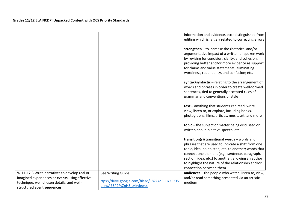|                                                                                                                                                                             |                                                                                                  | information and evidence, etc.; distinguished from                                                                                                                                                                                                                                                                                                     |
|-----------------------------------------------------------------------------------------------------------------------------------------------------------------------------|--------------------------------------------------------------------------------------------------|--------------------------------------------------------------------------------------------------------------------------------------------------------------------------------------------------------------------------------------------------------------------------------------------------------------------------------------------------------|
|                                                                                                                                                                             |                                                                                                  | editing which is largely related to correcting errors                                                                                                                                                                                                                                                                                                  |
|                                                                                                                                                                             |                                                                                                  | strengthen - to increase the rhetorical and/or<br>argumentative impact of a written or spoken work<br>by revising for concision, clarity, and cohesion;<br>providing better and/or more evidence as support<br>for claims and value statements; eliminating<br>wordiness, redundancy, and confusion; etc.                                              |
|                                                                                                                                                                             |                                                                                                  | syntax/syntactic - relating to the arrangement of<br>words and phrases in order to create well-formed<br>sentences, tied to generally accepted rules of<br>grammar and conventions of style                                                                                                                                                            |
|                                                                                                                                                                             |                                                                                                  | text - anything that students can read, write,<br>view, listen to, or explore, including books,<br>photographs, films, articles, music, art, and more                                                                                                                                                                                                  |
|                                                                                                                                                                             |                                                                                                  | topic - the subject or matter being discussed or<br>written about in a text, speech, etc.                                                                                                                                                                                                                                                              |
|                                                                                                                                                                             |                                                                                                  | transition(s)/transitional words - words and<br>phrases that are used to indicate a shift from one<br>topic, idea, point, step, etc. to another; words that<br>connect one element (e.g., sentence, paragraph,<br>section, idea, etc.) to another, allowing an author<br>to highlight the nature of the relationship and/or<br>connection between them |
| W.11-12.3 Write narratives to develop real or<br>imagined experiences or events using effective<br>technique, well-chosen details, and well-<br>structured event sequences. | See Writing Guide<br>ttps://drive.google.com/file/d/187kYoCuuYXCKJ5<br>alKwAB6P9FyZnH3 z4/viewts | audiences - the people who watch, listen to, view,<br>and/or read something presented via an artistic<br>medium                                                                                                                                                                                                                                        |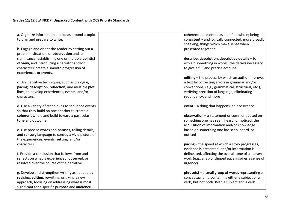| a. Organize information and ideas around a topic    | coherent - presented as a unified whole; being        |
|-----------------------------------------------------|-------------------------------------------------------|
| to plan and prepare to write.                       | consistently and logically connected; more broadly    |
|                                                     | speaking, things which make sense when                |
| b. Engage and orient the reader by setting out a    | presented together                                    |
| problem, situation, or observation and its          |                                                       |
| significance, establishing one or multiple point(s) | describe, description, descriptive details - to       |
| of view, and introducing a narrator and/or          | explain something in words; the details necessary     |
| characters; create a smooth progression of          | to give a full and precise account                    |
|                                                     |                                                       |
| experiences or events.                              |                                                       |
|                                                     | editing – the process by which an author improves     |
| c. Use narrative techniques, such as dialogue,      | a text by correcting errors in grammar and/or         |
| pacing, description, reflection, and multiple plot  | conventions, (e.g., grammatical, structural, etc.),   |
| lines, to develop experiences, events, and/or       | verifying precision of language, eliminating          |
| characters.                                         | redundancy, and more                                  |
|                                                     |                                                       |
| d. Use a variety of techniques to sequence events   | event $-$ a thing that happens; an occurrence         |
| so that they build on one another to create a       |                                                       |
| coherent whole and build toward a particular        | observation - a statement or comment based on         |
| tone and outcome.                                   | something one has seen, heard, or noticed; the        |
|                                                     | acquisition of information and/or knowledge           |
| e. Use precise words and phrases, telling details,  | based on something one has seen, heard, or            |
| and sensory language to convey a vivid picture of   | noticed                                               |
| the experiences, events, setting, and/or            |                                                       |
| characters.                                         | pacing – the speed at which a story progresses,       |
|                                                     | evidence is presented, and/or information is          |
| f. Provide a conclusion that follows from and       | delineated, affecting the overall tone of a literary  |
| reflects on what is experienced, observed, or       | work (e.g., a rapid, clipped pace inspires a sense of |
| resolved over the course of the narrative.          | urgency)                                              |
|                                                     |                                                       |
| g. Develop and strengthen writing as needed by      | $phrase(s)$ – a small group of words representing a   |
| revising, editing, rewriting, or trying a new       | conceptual unit, containing either a subject or a     |
|                                                     |                                                       |
| approach, focusing on addressing what is most       | verb, but not both. Both a subject and a verb         |
| significant for a specific purpose and audience.    |                                                       |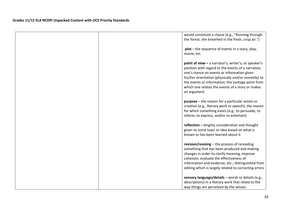|  | would constitute a clause (e.g., "Running through<br>the forest, she breathed in the fresh, crisp air.")                                                                                                                                                                                                                                 |
|--|------------------------------------------------------------------------------------------------------------------------------------------------------------------------------------------------------------------------------------------------------------------------------------------------------------------------------------------|
|  | $plot$ – the sequence of events in a story, play,<br>movie, etc.                                                                                                                                                                                                                                                                         |
|  | point of view - a narrator's, writer's, or speaker's<br>position with regard to the events of a narrative;<br>one's stance on events or information given<br>his/her orientation (physically and/or mentally) to<br>the events or information; the vantage point from<br>which one relates the events of a story or makes<br>an argument |
|  | <b>purpose</b> – the reason for a particular action or<br>creation (e.g., literary work or speech); the reason<br>for which something exists (e.g., to persuade, to<br>inform, to express, and/or to entertain)                                                                                                                          |
|  | reflection - lengthy consideration and thought<br>given to some topic or idea based on what is<br>known or has been learned about it                                                                                                                                                                                                     |
|  | revision/revising - the process of rereading<br>something that has been produced and making<br>changes in order to clarify meaning, improve<br>cohesion, evaluate the effectiveness of<br>information and evidence, etc.; distinguished from<br>editing which is largely related to correcting errors                                    |
|  | sensory language/details - words or details (e.g.,<br>descriptions) in a literary work that relate to the<br>way things are perceived by the senses                                                                                                                                                                                      |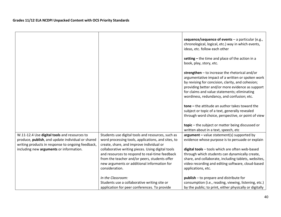|                                                                                                                                                                                                   |                                                                                                                                                                                                                                                                                                                                                                              | sequence/sequence of events $-$ a particular (e.g.,<br>chronological, logical, etc.) way in which events,<br>ideas, etc. follow each other                                                                                                                                                                                                                                                                                                                              |
|---------------------------------------------------------------------------------------------------------------------------------------------------------------------------------------------------|------------------------------------------------------------------------------------------------------------------------------------------------------------------------------------------------------------------------------------------------------------------------------------------------------------------------------------------------------------------------------|-------------------------------------------------------------------------------------------------------------------------------------------------------------------------------------------------------------------------------------------------------------------------------------------------------------------------------------------------------------------------------------------------------------------------------------------------------------------------|
|                                                                                                                                                                                                   |                                                                                                                                                                                                                                                                                                                                                                              | setting $-$ the time and place of the action in a<br>book, play, story, etc.                                                                                                                                                                                                                                                                                                                                                                                            |
|                                                                                                                                                                                                   |                                                                                                                                                                                                                                                                                                                                                                              | strengthen $-$ to increase the rhetorical and/or<br>argumentative impact of a written or spoken work<br>by revising for concision, clarity, and cohesion;<br>providing better and/or more evidence as support<br>for claims and value statements; eliminating<br>wordiness, redundancy, and confusion; etc.<br>$tone – the attitude an author takes toward the$<br>subject or topic of a text, generally revealed<br>through word choice, perspective, or point of view |
|                                                                                                                                                                                                   |                                                                                                                                                                                                                                                                                                                                                                              | topic - the subject or matter being discussed or<br>written about in a text, speech, etc                                                                                                                                                                                                                                                                                                                                                                                |
| W.11-12.4 Use digital tools and resources to<br>produce, publish, and update individual or shared<br>writing products in response to ongoing feedback,<br>including new arguments or information. | Students use digital tools and resources, such as<br>word processing tools, applications, and sites, to<br>create, share, and improve individual or<br>collaborative writing pieces. Using digital tools<br>and resources to respond to real-time feedback<br>from the teacher and/or peers, students offer<br>new arguments or additional information for<br>consideration. | $argument - value statement(s) supported by$<br>evidence whose purpose is to persuade or explain<br>digital tools - tools which are often web-based<br>through which students can dynamically create,<br>share, and collaborate, including tablets, websites,<br>video recording and editing software, cloud-based<br>applications, etc.                                                                                                                                |
|                                                                                                                                                                                                   | In the Classroom:<br>Students use a collaborative writing site or<br>application for peer conferences. To provide                                                                                                                                                                                                                                                            | <b>publish</b> – to prepare and distribute for<br>consumption (i.e., reading, viewing, listening, etc.)<br>by the public; to print, either physically or digitally                                                                                                                                                                                                                                                                                                      |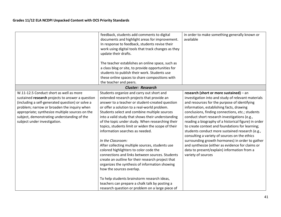|                                                                                                                                                                                                                                                                                                                                  | feedback, students add comments to digital<br>documents and highlight areas for improvement.<br>In response to feedback, students revise their<br>work using digital tools that track changes as they<br>update their drafts.<br>The teacher establishes an online space, such as<br>a class blog or site, to provide opportunities for<br>students to publish their work. Students use<br>these online spaces to share compositions with<br>the teacher and peers.                                                                                                                                                                                                                                                                                                                                                                                                                                       | in order to make something generally known or<br>available                                                                                                                                                                                                                                                                                                                                                                                                                                                                                                                                                                                                                               |
|----------------------------------------------------------------------------------------------------------------------------------------------------------------------------------------------------------------------------------------------------------------------------------------------------------------------------------|-----------------------------------------------------------------------------------------------------------------------------------------------------------------------------------------------------------------------------------------------------------------------------------------------------------------------------------------------------------------------------------------------------------------------------------------------------------------------------------------------------------------------------------------------------------------------------------------------------------------------------------------------------------------------------------------------------------------------------------------------------------------------------------------------------------------------------------------------------------------------------------------------------------|------------------------------------------------------------------------------------------------------------------------------------------------------------------------------------------------------------------------------------------------------------------------------------------------------------------------------------------------------------------------------------------------------------------------------------------------------------------------------------------------------------------------------------------------------------------------------------------------------------------------------------------------------------------------------------------|
|                                                                                                                                                                                                                                                                                                                                  | <b>Cluster: Research</b>                                                                                                                                                                                                                                                                                                                                                                                                                                                                                                                                                                                                                                                                                                                                                                                                                                                                                  |                                                                                                                                                                                                                                                                                                                                                                                                                                                                                                                                                                                                                                                                                          |
| W.11-12.5 Conduct short as well as more<br>sustained research projects to answer a question<br>(including a self-generated question) or solve a<br>problem; narrow or broaden the inquiry when<br>appropriate; synthesize multiple sources on the<br>subject, demonstrating understanding of the<br>subject under investigation. | Students organize and carry out short and<br>extended research projects that provide an<br>answer to a teacher or student-created question<br>or offer a solution to a real-world problem.<br>Students select and combine multiple sources<br>into a valid study that shows their understanding<br>of the topic under study. When researching their<br>topics, students limit or widen the scope of their<br>information searches as needed.<br>In the Classroom:<br>After collecting multiple sources, students use<br>colored highlighters to color code the<br>connections and links between sources. Students<br>create an outline for their research project that<br>organizes the synthesis of information showing<br>how the sources overlap.<br>To help students brainstorm research ideas,<br>teachers can prepare a chalk talk by posting a<br>research question or problem on a large piece of | research (short or more sustained) - an<br>investigation into and study of relevant materials<br>and resources for the purpose of identifying<br>information, establishing facts, drawing<br>conclusions, finding connections, etc.; students<br>conduct short research investigations (e.g.,<br>reading a biography of a historical figure) in order<br>to create context and foundations for learning;<br>students conduct more sustained research (e.g.,<br>consulting a variety of sources on the ethics<br>surrounding growth hormones) in order to gather<br>and synthesize (either as evidence for claims or<br>data to present/explain) information from a<br>variety of sources |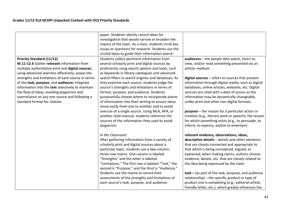|                                                                                                                                                                                                                                                                                                                                                                                                                                                                                    | paper. Students silently record ideas for<br>investigation that would narrow or broaden the<br>inquiry of the topic. As a class, students circle key<br>issues or questions for research. Students use the<br>circled ideas to guide their information search.                                                                                                                                                                                                                                                                                                                                                                                                                                                                    |                                                                                                                                                                                                                                                                                                                                                                                                                                                                                                                                                                                                                                              |
|------------------------------------------------------------------------------------------------------------------------------------------------------------------------------------------------------------------------------------------------------------------------------------------------------------------------------------------------------------------------------------------------------------------------------------------------------------------------------------|-----------------------------------------------------------------------------------------------------------------------------------------------------------------------------------------------------------------------------------------------------------------------------------------------------------------------------------------------------------------------------------------------------------------------------------------------------------------------------------------------------------------------------------------------------------------------------------------------------------------------------------------------------------------------------------------------------------------------------------|----------------------------------------------------------------------------------------------------------------------------------------------------------------------------------------------------------------------------------------------------------------------------------------------------------------------------------------------------------------------------------------------------------------------------------------------------------------------------------------------------------------------------------------------------------------------------------------------------------------------------------------------|
| <b>Priority Standard (11/12)</b><br>W.11-12.6 Gather relevant information from<br>multiple authoritative print and digital sources,<br>using advanced searches effectively; assess the<br>strengths and limitations of each source in terms<br>of the task, purpose, and audience; integrate<br>information into the text selectively to maintain<br>the flow of ideas, avoiding plagiarism and<br>overreliance on any one source and following a<br>standard format for citation. | Students collect pertinent information from<br>several scholarly print and digital sources by<br>proficiently using search options and tools, such<br>as keywords in library catalogues and advanced<br>search filters in search engines and databases. As<br>they examine each source, students judge the<br>source's strengths and limitations in terms of<br>format, purpose, and audience. Students<br>purposefully choose where to incorporate pieces<br>of information into their writing to ensure ideas<br>move easily from one to another and to avoid<br>overuse of a single source. Using MLA, APA, or<br>another style manual, students reference the<br>sources of the information they used to avoid<br>plagiarism. | audiences - the people who watch, listen to,<br>view, and/or read something presented via an<br>artistic medium<br>digital sources - refers to sources that present<br>information through digital media, such as digital<br>databases, online articles, websites, etc. Digital<br>sources are cited with a date of access as the<br>information may be dynamically changeable,<br>unlike print and other non-digital formats.<br>$purpose$ – the reason for a particular action or<br>creation (e.g., literary work or speech); the reason<br>for which something exists (e.g., to persuade, to<br>inform, to express, and/or to entertain) |
|                                                                                                                                                                                                                                                                                                                                                                                                                                                                                    | In the Classroom:<br>After gathering information from a variety of<br>scholarly print and digital sources about a<br>particular topic, students use a two-column,<br>three-row matrix. One column is labeled<br>"Strengths" and the other is labeled<br>"Limitations." The first row is labeled "Task," the<br>second is "Purpose," and the third is "Audience."<br>Students use the matrix to record their<br>assessments of the strengths and limitations of<br>each source's task, purpose, and audience.                                                                                                                                                                                                                      | relevant evidence, observations, ideas,<br>descriptive details - details and other elements<br>that are closely connected and appropriate to<br>that which is being considered, argued, or<br>explained; when making claims, authors choose<br>evidence, details, etc. that are closely related to<br>the idea being expressed by the claim<br>task - (as part of the task, purpose, and audience<br>relationship) - the specific product or type of<br>product one is completing (e.g., editorial article,<br>friendly letter, etc.), which greatly influences the                                                                          |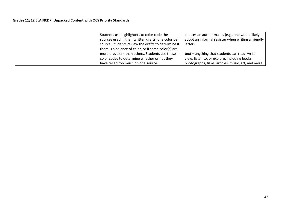| Students use highlighters to color code the          | choices an author makes (e.g., one would likely    |
|------------------------------------------------------|----------------------------------------------------|
| sources used in their written drafts: one color per  | adopt an informal register when writing a friendly |
| source. Students review the drafts to determine if   | letter)                                            |
| there is a balance of color, or if some color(s) are |                                                    |
| more prevalent than others. Students use these       | text - anything that students can read, write,     |
| color codes to determine whether or not they         | view, listen to, or explore, including books,      |
| have relied too much on one source.                  | photographs, films, articles, music, art, and more |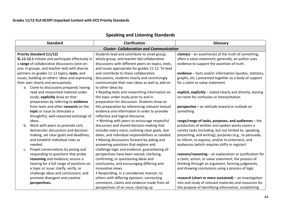| <b>Standard</b>                                                                                     | <b>Clarification</b>                                                                             | Glossary                                                                                                        |
|-----------------------------------------------------------------------------------------------------|--------------------------------------------------------------------------------------------------|-----------------------------------------------------------------------------------------------------------------|
|                                                                                                     | <b>Cluster- Collaboration and Communication</b>                                                  |                                                                                                                 |
| <b>Priority Standard (11/12)</b>                                                                    | Students lead and contribute to small group,                                                     | $claim(s)$ – an assertion(s) of the truth of something,                                                         |
| SL.11-12.1 Initiate and participate effectively in<br>a range of collaborative discussions (one-on- | whole group, and teacher-led collaborative<br>discussions with different peers on topics, texts, | often a value statement; generally, an author uses<br>evidence to support the assertion of truth.               |
| one, in groups, and teacher-led) with diverse                                                       | and issues appropriate for grades 11-12. To lead                                                 |                                                                                                                 |
| partners on grades 11-12 topics, texts, and                                                         | and contribute to these collaborative                                                            | evidence - facts and/or information (quotes, statistics,                                                        |
| issues, building on others' ideas and expressing                                                    | discussions, students clearly and convincingly                                                   | graphs, etc.) presented together as a body of support                                                           |
| their own clearly and persuasively.                                                                 | communicate their own ideas as well as add on                                                    | for a claim or value statement.                                                                                 |
| a. Come to discussions prepared, having                                                             | to other ideas by:                                                                               |                                                                                                                 |
| read and researched material under                                                                  | • Reading texts and researching information on                                                   | explicit, explicitly - stated clearly and directly, leaving                                                     |
| study; explicitly draw on that<br>preparation by referring to evidence                              | the topic under study prior to and in<br>preparation for discussion. Students draw on            | no room for confusion or interpretation                                                                         |
| from texts and other research on the                                                                | this preparation by referencing relevant textual                                                 | perspective - an attitude toward or outlook on                                                                  |
| topic or issue to stimulate a                                                                       | evidence and information in order to provoke                                                     | something                                                                                                       |
| thoughtful, well-reasoned exchange of                                                               | reflective and logical discourse.                                                                |                                                                                                                 |
| ideas.                                                                                              | • Working with peers to encourage respectful                                                     | range/range of tasks, purposes, and audiences - the                                                             |
| b. Work with peers to promote civil,                                                                | discussion and shared decision-making that                                                       | production of written and spoken works covers a                                                                 |
| democratic discussions and decision-                                                                | includes every voice; outlining clear goals, due                                                 | variety tasks (including, but not limited to, speaking,                                                         |
| making, set clear goals and deadlines,<br>and establish individual roles as                         | dates, and individual responsibilities as needed.<br>• Moving discussions forward by asking and  | presenting, and writing), purposes (e.g., to persuade,<br>to inform, to express, and/or to entertain), and      |
| needed.                                                                                             | answering questions that explore and                                                             | audiences (which requires shifts in register)                                                                   |
| Propel conversations by posing and<br>c.                                                            | challenge logic and evidence; guaranteeing all                                                   |                                                                                                                 |
| responding to questions that probe                                                                  | perspectives have been voiced; clarifying,                                                       | reasons/reasoning - an explanation or justification for                                                         |
| reasoning and evidence; ensure a                                                                    | confirming, or questioning ideas and                                                             | a claim, action, or value statement; the process of                                                             |
| hearing for a full range of positions on                                                            | conclusions; and encouraging differing and                                                       | thinking through an argument, forming judgments,                                                                |
| a topic or issue; clarify, verify, or                                                               | innovative views.                                                                                | and drawing conclusions using a process of logic                                                                |
| challenge ideas and conclusions; and                                                                | • Responding, in a considerate manner, to                                                        |                                                                                                                 |
| promote divergent and creative<br>perspectives.                                                     | others with differing opinions; connecting<br>comments, claims and evidence made from all        | research (short or more sustained) - an investigation<br>into and study of relevant materials and resources for |
|                                                                                                     | perspectives of an issue; clearing up                                                            | the purpose of identifying information, establishing                                                            |

# **Speaking and Listening Standards**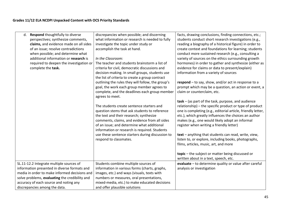| Respond thoughtfully to diverse<br>d.          | discrepancies when possible; and discerning       | facts, drawing conclusions, finding connections, etc.;       |
|------------------------------------------------|---------------------------------------------------|--------------------------------------------------------------|
| perspectives; synthesize comments,             | what information or research is needed to fully   | students conduct short research investigations (e.g.,        |
| claims, and evidence made on all sides         | investigate the topic under study or              | reading a biography of a historical figure) in order to      |
| of an issue; resolve contradictions            | accomplish the task at hand.                      | create context and foundations for learning; students        |
| when possible; and determine what              |                                                   | conduct more sustained research (e.g., consulting a          |
| additional information or research is          | In the Classroom:                                 | variety of sources on the ethics surrounding growth          |
| required to deepen the investigation or        | The teacher and students brainstorm a list of     | hormones) in order to gather and synthesize (either as       |
| complete the task.                             | criteria for civil, democratic discussions and    | evidence for claims or data to present/explain)              |
|                                                | decision-making. In small groups, students use    | information from a variety of sources                        |
|                                                | the list of criteria to create a group contract   |                                                              |
|                                                | outlining the rules they will follow, the group's | respond - to say, show, and/or act in response to a          |
|                                                | goal, the work each group member agrees to        | prompt which may be a question, an action or event, a        |
|                                                | complete, and the deadlines each group member     | claim or counterclaim, etc.                                  |
|                                                | agrees to meet.                                   |                                                              |
|                                                |                                                   | task – (as part of the task, purpose, and audience           |
|                                                | The students create sentence starters and         | relationship) – the specific product or type of product      |
|                                                | question stems that ask students to reference     | one is completing (e.g., editorial article, friendly letter, |
|                                                | the text and their research; synthesize           | etc.), which greatly influences the choices an author        |
|                                                | comments, claims, and evidence from all sides     | makes (e.g., one would likely adopt an informal              |
|                                                | of an issue; and determine what additional        | register when writing a friendly letter)                     |
|                                                | information or research is required. Students     |                                                              |
|                                                | use these sentence starters during discussion to  | text - anything that students can read, write, view,         |
|                                                | respond to classmates.                            | listen to, or explore, including books, photographs,         |
|                                                |                                                   | films, articles, music, art, and more                        |
|                                                |                                                   |                                                              |
|                                                |                                                   | topic - the subject or matter being discussed or             |
|                                                |                                                   | written about in a text, speech, etc.                        |
|                                                |                                                   |                                                              |
| SL.11-12.2 Integrate multiple sources of       | Students combine multiple sources of              | evaluate - to determine quality or value after careful       |
| information presented in diverse formats and   | information in various forms (charts, graphs,     | analysis or investigation                                    |
| media in order to make informed decisions and  | images, etc.) and ways (visuals, texts with       |                                                              |
| solve problems, evaluating the credibility and | numbers or measures, oral presentations,          |                                                              |
| accuracy of each source and noting any         | mixed-media, etc.) to make educated decisions     |                                                              |
| discrepancies among the data.                  | and offer plausible solutions                     |                                                              |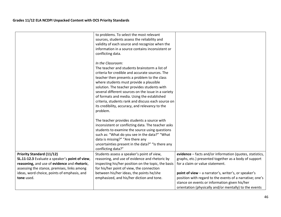|                                                | to problems. To select the most relevant            |                                                          |
|------------------------------------------------|-----------------------------------------------------|----------------------------------------------------------|
|                                                | sources, students assess the reliability and        |                                                          |
|                                                | validity of each source and recognize when the      |                                                          |
|                                                | information in a source contains inconsistent or    |                                                          |
|                                                | conflicting data.                                   |                                                          |
|                                                |                                                     |                                                          |
|                                                | In the Classroom:                                   |                                                          |
|                                                | The teacher and students brainstorm a list of       |                                                          |
|                                                | criteria for credible and accurate sources. The     |                                                          |
|                                                | teacher then presents a problem to the class        |                                                          |
|                                                | where students must provide a plausible             |                                                          |
|                                                | solution. The teacher provides students with        |                                                          |
|                                                | several different sources on the issue in a variety |                                                          |
|                                                | of formats and media. Using the established         |                                                          |
|                                                | criteria, students rank and discuss each source on  |                                                          |
|                                                | its credibility, accuracy, and relevancy to the     |                                                          |
|                                                | problem.                                            |                                                          |
|                                                |                                                     |                                                          |
|                                                | The teacher provides students a source with         |                                                          |
|                                                | inconsistent or conflicting data. The teacher asks  |                                                          |
|                                                | students to examine the source using questions      |                                                          |
|                                                | such as: "What do you see in the data?" "What       |                                                          |
|                                                | data is missing?" "Are there any                    |                                                          |
|                                                | uncertainties present in the data?" "Is there any   |                                                          |
|                                                | conflicting data?"                                  |                                                          |
| <b>Priority Standard (11/12)</b>               | Students assess a speaker's point of view,          | evidence - facts and/or information (quotes, statistics, |
| SL.11-12.3 Evaluate a speaker's point of view, | reasoning, and use of evidence and rhetoric by      | graphs, etc.) presented together as a body of support    |
| reasoning, and use of evidence and rhetoric,   | inspecting his/her position on the topic, the basis | for a claim or value statement.                          |
| assessing the stance, premises, links among    | for his/her point of view, the connection           |                                                          |
| ideas, word choice, points of emphasis, and    | between his/her ideas, the points he/she            | point of view - a narrator's, writer's, or speaker's     |
| tone used.                                     | emphasized, and his/her diction and tone.           | position with regard to the events of a narrative; one's |
|                                                |                                                     | stance on events or information given his/her            |
|                                                |                                                     | orientation (physically and/or mentally) to the events   |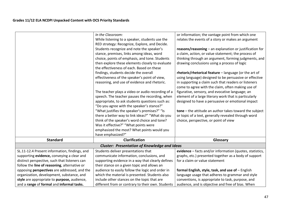|                                               | In the Classroom:                                   | or information; the vantage point from which one         |
|-----------------------------------------------|-----------------------------------------------------|----------------------------------------------------------|
|                                               | While listening to a speaker, students use the      | relates the events of a story or makes an argument       |
|                                               | RED strategy: Recognize, Explore, and Decide.       |                                                          |
|                                               | Students recognize and note the speaker's           | reasons/reasoning - an explanation or justification for  |
|                                               | stance, premises, links among ideas, word           | a claim, action, or value statement; the process of      |
|                                               | choice, points of emphasis, and tone. Students      | thinking through an argument, forming judgments, and     |
|                                               | then explore these elements closely to evaluate     | drawing conclusions using a process of logic             |
|                                               | the effectiveness of each. Based on these           |                                                          |
|                                               | findings, students decide the overall               | rhetoric/rhetorical feature - language (or the art of    |
|                                               | effectiveness of the speaker's point of view,       | using language) designed to be persuasive or effective   |
|                                               | reasoning, and use of evidence and rhetoric.        | in supporting a claim such that readers or listeners     |
|                                               |                                                     | come to agree with the claim, often making use of        |
|                                               | The teacher plays a video or audio recording of a   | figurative, sensory, and evocative language; an          |
|                                               | speech. The teacher pauses the recording, when      | element of a large literary work that is particularly    |
|                                               | appropriate, to ask students questions such as:     | designed to have a persuasive or emotional impact        |
|                                               | "Do you agree with the speaker's stance?"           |                                                          |
|                                               | "What justifies the speaker's premises?" "Is        | tone - the attitude an author takes toward the subject   |
|                                               | there a better way to link ideas?" "What do you     | or topic of a text, generally revealed through word      |
|                                               | think of the speaker's word choice and tone?        | choice, perspective, or point of view                    |
|                                               | Was it effective?" "What points were                |                                                          |
|                                               |                                                     |                                                          |
|                                               | emphasized the most? What points would you          |                                                          |
|                                               | have emphasized?"                                   |                                                          |
| <b>Standard</b>                               | Clarification                                       | Glossary                                                 |
|                                               | <b>Cluster: Presentation of Knowledge and Ideas</b> |                                                          |
| SL.11-12.4 Present information, findings, and | Students deliver presentations that                 | evidence - facts and/or information (quotes, statistics, |
| supporting evidence, conveying a clear and    | communicate information, conclusions, and           | graphs, etc.) presented together as a body of support    |
| distinct perspective, such that listeners can | supporting evidence in a way that clearly defines   | for a claim or value statement                           |
| follow the line of reasoning, alternative or  | their stance on a given topic and allows an         |                                                          |
| opposing perspectives are addressed, and the  | audience to easily follow the logic and order in    | formal English, style, task, and use of - English        |
| organization, development, substance, and     | which the material is presented. Students also      | language usage that adheres to grammar and style         |
| style are appropriate to purpose, audience,   | include other stances on the topic that are         | conventions, is appropriate to task, purpose, and        |
| and a range of formal and informal tasks.     | different from or contrary to their own. Students   | audience, and is objective and free of bias. When        |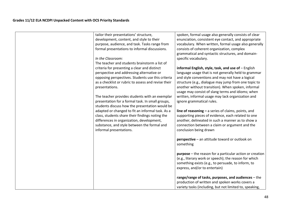| tailor their presentations' structure,              | spoken, formal usage also generally consists of clear           |
|-----------------------------------------------------|-----------------------------------------------------------------|
| development, content, and style to their            | enunciation, consistent eye contact, and appropriate            |
| purpose, audience, and task. Tasks range from       | vocabulary. When written, formal usage also generally           |
| formal presentations to informal discussions.       | consists of coherent organization, complex                      |
|                                                     | grammatical and syntactic structures, and domain-               |
| In the Classroom:                                   | specific vocabulary.                                            |
| The teacher and students brainstorm a list of       |                                                                 |
| criteria for presenting a clear and distinct        | informal English, style, task, and use of - English             |
| perspective and addressing alternative or           | language usage that is not generally held to grammar            |
| opposing perspectives. Students use this criteria   | and style conventions and may not have a logical                |
| as a checklist or rubric to assess and revise their | structure (e.g., dialogue may jump from one topic to            |
| presentations.                                      | another without transition). When spoken, informal              |
|                                                     | usage may consist of slang terms and idioms; when               |
| The teacher provides students with an exemplar      | written, informal usage may lack organization and               |
| presentation for a formal task. In small groups,    | ignore grammatical rules.                                       |
| students discuss how the presentation would be      |                                                                 |
| adapted or changed to fit an informal task. As a    | line of reasoning $-$ a series of claims, points, and           |
| class, students share their findings noting the     | supporting pieces of evidence, each related to one              |
| differences in organization, development,           | another, delineated in such a manner as to show a               |
| substance, and style between the formal and         | connection between a claim or argument and the                  |
| informal presentations.                             | conclusion being drawn                                          |
|                                                     |                                                                 |
|                                                     | perspective - an attitude toward or outlook on                  |
|                                                     | something                                                       |
|                                                     |                                                                 |
|                                                     | <b>purpose</b> – the reason for a particular action or creation |
|                                                     | (e.g., literary work or speech); the reason for which           |
|                                                     | something exists (e.g., to persuade, to inform, to              |
|                                                     | express, and/or to entertain)                                   |
|                                                     |                                                                 |
|                                                     | range/range of tasks, purposes, and audiences - the             |
|                                                     | production of written and spoken works covers a                 |
|                                                     | variety tasks (including, but not limited to, speaking,         |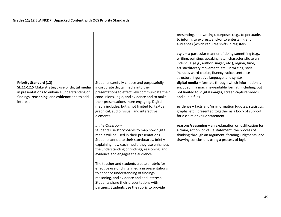|                                                                                                                                                                                              |                                                                                                                                                                                                                                                                                                                                                                                                                                                                                                                                                                                                                                                                                                                                                                                                                                                                                                                                             | presenting, and writing), purposes (e.g., to persuade,<br>to inform, to express, and/or to entertain), and<br>audiences (which requires shifts in register)<br>style – a particular manner of doing something (e.g.,<br>writing, painting, speaking, etc.) characteristic to an<br>individual (e.g., author, singer, etc.), region, time,<br>artistic/literary movement, etc.; in writing, style<br>includes word choice, fluency, voice, sentence<br>structure, figurative language, and syntax                                                                           |
|----------------------------------------------------------------------------------------------------------------------------------------------------------------------------------------------|---------------------------------------------------------------------------------------------------------------------------------------------------------------------------------------------------------------------------------------------------------------------------------------------------------------------------------------------------------------------------------------------------------------------------------------------------------------------------------------------------------------------------------------------------------------------------------------------------------------------------------------------------------------------------------------------------------------------------------------------------------------------------------------------------------------------------------------------------------------------------------------------------------------------------------------------|----------------------------------------------------------------------------------------------------------------------------------------------------------------------------------------------------------------------------------------------------------------------------------------------------------------------------------------------------------------------------------------------------------------------------------------------------------------------------------------------------------------------------------------------------------------------------|
| <b>Priority Standard (12)</b><br>SL.11-12.5 Make strategic use of digital media<br>in presentations to enhance understanding of<br>findings, reasoning, and evidence and to add<br>interest. | Students carefully choose and purposefully<br>incorporate digital media into their<br>presentations to effectively communicate their<br>conclusions, logic, and evidence and to make<br>their presentations more engaging. Digital<br>media includes, but is not limited to: textual,<br>graphical, audio, visual, and interactive<br>elements.<br>In the Classroom:<br>Students use storyboards to map how digital<br>media will be used in their presentations.<br>Students annotate their storyboards, briefly<br>explaining how each media they use enhances<br>the understanding of findings, reasoning, and<br>evidence and engages the audience.<br>The teacher and students create a rubric for<br>effective use of digital media in presentations<br>to enhance understanding of findings,<br>reasoning, and evidence and add interest.<br>Students share their presentations with<br>partners. Students use the rubric to provide | digital media - formats through which information is<br>encoded in a machine-readable format, including, but<br>not limited to, digital images, screen capture videos,<br>and audio files<br>evidence - facts and/or information (quotes, statistics,<br>graphs, etc.) presented together as a body of support<br>for a claim or value statement<br>reasons/reasoning - an explanation or justification for<br>a claim, action, or value statement; the process of<br>thinking through an argument, forming judgments, and<br>drawing conclusions using a process of logic |